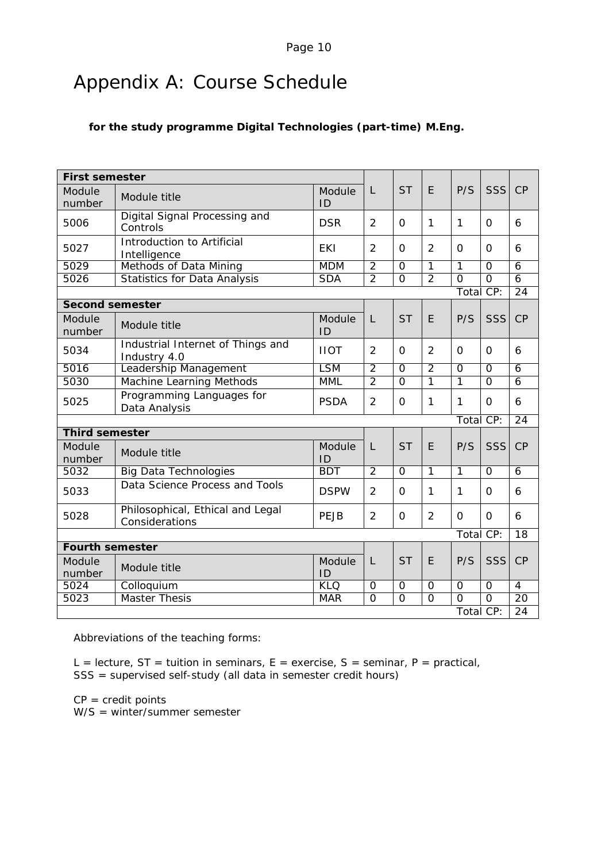## Appendix A: Course Schedule

## **for the study programme Digital Technologies (part-time) M.Eng.**

| <b>First semester</b>  |                                                    |              |                |                |                |                |                |                 |
|------------------------|----------------------------------------------------|--------------|----------------|----------------|----------------|----------------|----------------|-----------------|
| Module<br>number       | Module title                                       | Module<br>ID | L              | <b>ST</b>      | F              | P/S            | SSS            | CP              |
| 5006                   | Digital Signal Processing and<br>Controls          | <b>DSR</b>   | $\overline{2}$ | $\Omega$       | $\mathbf{1}$   | 1              | $\Omega$       | 6               |
| 5027                   | Introduction to Artificial<br>Intelligence         | <b>EKI</b>   | $\overline{2}$ | $\Omega$       | $\overline{2}$ | $\Omega$       | $\Omega$       | 6               |
| 5029                   | <b>Methods of Data Mining</b>                      | <b>MDM</b>   | $\overline{2}$ | $\Omega$       | 1              | 1              | $\Omega$       | $\overline{6}$  |
| 5026                   | <b>Statistics for Data Analysis</b>                | <b>SDA</b>   | $\overline{2}$ | $\overline{0}$ | $\overline{2}$ | $\overline{0}$ | $\overline{0}$ | $\overline{6}$  |
|                        |                                                    |              |                |                |                | Total CP:      |                | $\overline{24}$ |
| <b>Second semester</b> |                                                    |              |                |                |                |                |                |                 |
| Module<br>number       | Module title                                       | Module<br>ID | L              | <b>ST</b>      | E              | P/S            | SSS            | CP              |
| 5034                   | Industrial Internet of Things and<br>Industry 4.0  | <b>IIOT</b>  | 2              | $\Omega$       | $\overline{2}$ | $\Omega$       | $\Omega$       | 6               |
| 5016                   | Leadership Management                              | <b>LSM</b>   | $\overline{2}$ | $\Omega$       | $\overline{2}$ | $\Omega$       | $\Omega$       | 6               |
| 5030                   | <b>Machine Learning Methods</b>                    | <b>MML</b>   | $\overline{2}$ | $\overline{0}$ | $\overline{1}$ | 1              | $\overline{0}$ | $\overline{6}$  |
| 5025                   | Programming Languages for<br>Data Analysis         | <b>PSDA</b>  | $\overline{2}$ | $\Omega$       | $\mathbf{1}$   | 1              | 0              | 6               |
|                        |                                                    |              |                |                |                | Total CP:      |                | $\overline{24}$ |
| <b>Third semester</b>  |                                                    |              |                |                |                |                |                |                 |
| Module<br>number       | Module title                                       | Module<br>ID | L              | <b>ST</b>      | E              | P/S            | SSS            | CP              |
| 5032                   | <b>Big Data Technologies</b>                       | <b>BDT</b>   | $\overline{2}$ | $\Omega$       | $\overline{1}$ | $\overline{1}$ | $\Omega$       | $\overline{6}$  |
| 5033                   | Data Science Process and Tools                     | <b>DSPW</b>  | $\overline{2}$ | $\Omega$       | $\mathbf{1}$   | 1              | $\Omega$       | 6               |
| 5028                   | Philosophical, Ethical and Legal<br>Considerations | PEJB         | 2              | $\Omega$       | 2              | $\Omega$       | $\Omega$       | 6               |
|                        |                                                    |              |                |                |                | Total CP:      |                | $\overline{18}$ |
| <b>Fourth semester</b> |                                                    |              |                |                |                |                |                |                 |
| Module<br>number       | Module title                                       | Module<br>ID | L              | <b>ST</b>      | E              | P/S            | <b>SSS</b>     | CP              |
| 5024                   | Colloquium                                         | <b>KLO</b>   | $\overline{O}$ | 0              | $\mathbf 0$    | 0              | $\mathbf 0$    | $\overline{4}$  |
| 5023                   | <b>Master Thesis</b>                               | <b>MAR</b>   | $\Omega$       | $\overline{0}$ | $\Omega$       | $\Omega$       | $\overline{0}$ | $\overline{20}$ |
|                        |                                                    |              |                |                |                | Total CP:      |                | $\overline{24}$ |

Abbreviations of the teaching forms:

L = lecture, ST = tuition in seminars, E = exercise, S = seminar, P = practical, SSS = supervised self-study (all data in semester credit hours)

 $CP = credit points$ W/S = winter/summer semester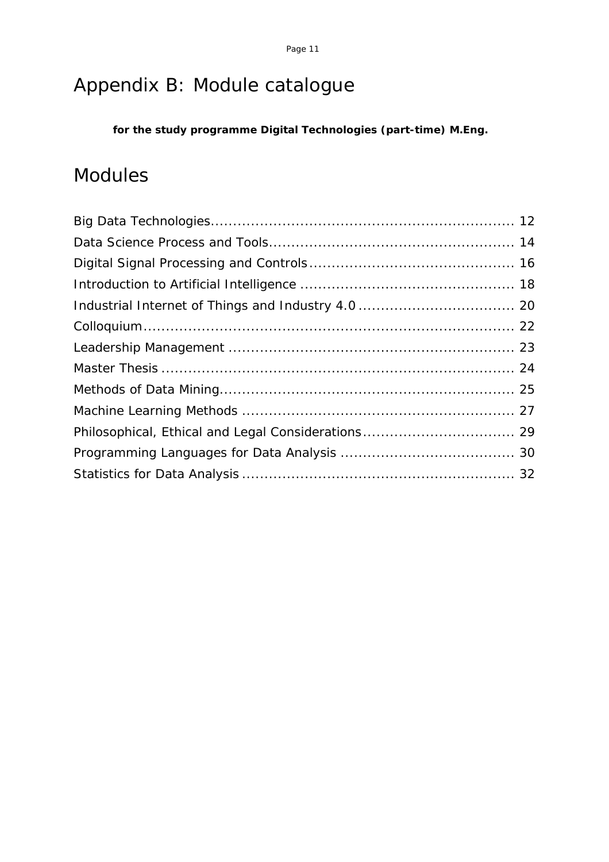## Appendix B: Module catalogue

**for the study programme Digital Technologies (part-time) M.Eng.**

## Modules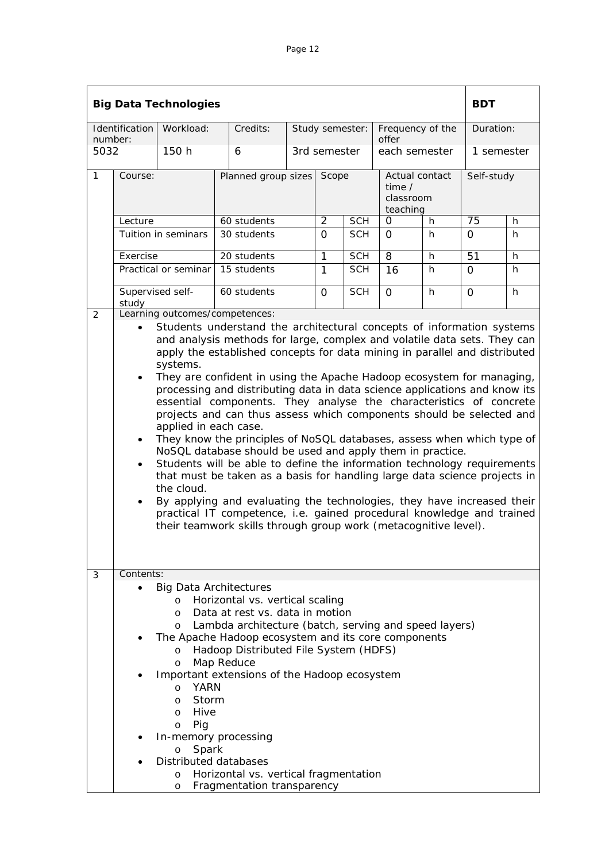<span id="page-2-0"></span>

|                                                                                                    |                                                                                                                                                                                                                                                                                                                                                                                                                                                                                                                                                                                                                                                                                                                                                                                                                                                                                                                                                                                                                                                                                                                                                                                                    | <b>Big Data Technologies</b>                                                                                                                                                                                                                      |                                                                                                                                                                                                                                                                                                                                                                  |  |                |            |                                                     |    | BDT        |   |
|----------------------------------------------------------------------------------------------------|----------------------------------------------------------------------------------------------------------------------------------------------------------------------------------------------------------------------------------------------------------------------------------------------------------------------------------------------------------------------------------------------------------------------------------------------------------------------------------------------------------------------------------------------------------------------------------------------------------------------------------------------------------------------------------------------------------------------------------------------------------------------------------------------------------------------------------------------------------------------------------------------------------------------------------------------------------------------------------------------------------------------------------------------------------------------------------------------------------------------------------------------------------------------------------------------------|---------------------------------------------------------------------------------------------------------------------------------------------------------------------------------------------------------------------------------------------------|------------------------------------------------------------------------------------------------------------------------------------------------------------------------------------------------------------------------------------------------------------------------------------------------------------------------------------------------------------------|--|----------------|------------|-----------------------------------------------------|----|------------|---|
| Identification<br>Workload:<br>Credits:<br>Frequency of the<br>Study semester:<br>offer<br>number: |                                                                                                                                                                                                                                                                                                                                                                                                                                                                                                                                                                                                                                                                                                                                                                                                                                                                                                                                                                                                                                                                                                                                                                                                    |                                                                                                                                                                                                                                                   |                                                                                                                                                                                                                                                                                                                                                                  |  | Duration:      |            |                                                     |    |            |   |
| 5032                                                                                               |                                                                                                                                                                                                                                                                                                                                                                                                                                                                                                                                                                                                                                                                                                                                                                                                                                                                                                                                                                                                                                                                                                                                                                                                    | 150h                                                                                                                                                                                                                                              | 6                                                                                                                                                                                                                                                                                                                                                                |  | 3rd semester   |            | each semester                                       |    | 1 semester |   |
| $\mathbf{1}$                                                                                       | Course:                                                                                                                                                                                                                                                                                                                                                                                                                                                                                                                                                                                                                                                                                                                                                                                                                                                                                                                                                                                                                                                                                                                                                                                            |                                                                                                                                                                                                                                                   | Planned group sizes Scope                                                                                                                                                                                                                                                                                                                                        |  |                |            | Actual contact<br>time $/$<br>classroom<br>teaching |    | Self-study |   |
|                                                                                                    | Lecture                                                                                                                                                                                                                                                                                                                                                                                                                                                                                                                                                                                                                                                                                                                                                                                                                                                                                                                                                                                                                                                                                                                                                                                            |                                                                                                                                                                                                                                                   | 60 students                                                                                                                                                                                                                                                                                                                                                      |  | 2              | <b>SCH</b> | 0                                                   | h  | 75         | h |
|                                                                                                    |                                                                                                                                                                                                                                                                                                                                                                                                                                                                                                                                                                                                                                                                                                                                                                                                                                                                                                                                                                                                                                                                                                                                                                                                    | Tuition in seminars                                                                                                                                                                                                                               | 30 students                                                                                                                                                                                                                                                                                                                                                      |  | $\Omega$       | <b>SCH</b> | $\Omega$                                            | h  | $\Omega$   | h |
|                                                                                                    | Exercise                                                                                                                                                                                                                                                                                                                                                                                                                                                                                                                                                                                                                                                                                                                                                                                                                                                                                                                                                                                                                                                                                                                                                                                           |                                                                                                                                                                                                                                                   | 20 students                                                                                                                                                                                                                                                                                                                                                      |  | $\overline{1}$ | <b>SCH</b> | $\overline{8}$                                      | h  | 51         | h |
|                                                                                                    |                                                                                                                                                                                                                                                                                                                                                                                                                                                                                                                                                                                                                                                                                                                                                                                                                                                                                                                                                                                                                                                                                                                                                                                                    | Practical or seminar                                                                                                                                                                                                                              | 15 students                                                                                                                                                                                                                                                                                                                                                      |  | $\mathbf{1}$   | <b>SCH</b> | 16                                                  | h  | $\Omega$   | h |
|                                                                                                    | study                                                                                                                                                                                                                                                                                                                                                                                                                                                                                                                                                                                                                                                                                                                                                                                                                                                                                                                                                                                                                                                                                                                                                                                              | Supervised self-                                                                                                                                                                                                                                  | 60 students                                                                                                                                                                                                                                                                                                                                                      |  | $\Omega$       | <b>SCH</b> | $\Omega$                                            | h. | $\Omega$   | h |
|                                                                                                    | Learning outcomes/competences:<br>Students understand the architectural concepts of information systems<br>and analysis methods for large, complex and volatile data sets. They can<br>apply the established concepts for data mining in parallel and distributed<br>systems.<br>They are confident in using the Apache Hadoop ecosystem for managing,<br>$\bullet$<br>processing and distributing data in data science applications and know its<br>essential components. They analyse the characteristics of concrete<br>projects and can thus assess which components should be selected and<br>applied in each case.<br>They know the principles of NoSQL databases, assess when which type of<br>$\bullet$<br>NoSQL database should be used and apply them in practice.<br>Students will be able to define the information technology requirements<br>$\bullet$<br>that must be taken as a basis for handling large data science projects in<br>the cloud.<br>By applying and evaluating the technologies, they have increased their<br>$\bullet$<br>practical IT competence, i.e. gained procedural knowledge and trained<br>their teamwork skills through group work (metacognitive level). |                                                                                                                                                                                                                                                   |                                                                                                                                                                                                                                                                                                                                                                  |  |                |            |                                                     |    |            |   |
| 3                                                                                                  | Contents:<br>$\bullet$                                                                                                                                                                                                                                                                                                                                                                                                                                                                                                                                                                                                                                                                                                                                                                                                                                                                                                                                                                                                                                                                                                                                                                             | <b>Big Data Architectures</b><br>$\circ$<br>$\circ$<br>$\circ$<br>$\circ$<br>$\circ$<br>YARN<br>$\circ$<br>Storm<br>$\Omega$<br>Hive<br>$\circ$<br>Pig<br>$\circ$<br>In-memory processing<br>Spark<br>O<br>Distributed databases<br>$\Omega$<br>O | Horizontal vs. vertical scaling<br>Data at rest vs. data in motion<br>Lambda architecture (batch, serving and speed layers)<br>The Apache Hadoop ecosystem and its core components<br>Hadoop Distributed File System (HDFS)<br>Map Reduce<br>Important extensions of the Hadoop ecosystem<br>Horizontal vs. vertical fragmentation<br>Fragmentation transparency |  |                |            |                                                     |    |            |   |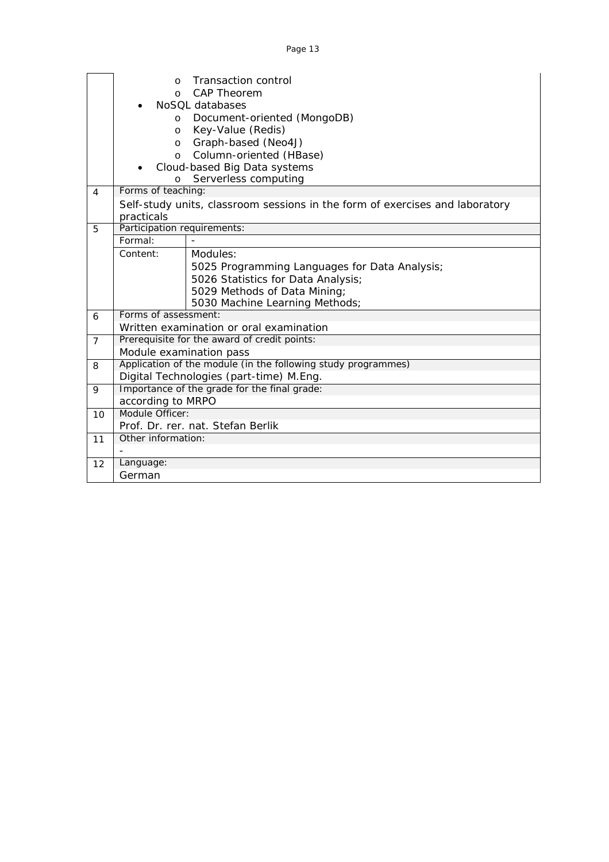| Page |  |
|------|--|
|------|--|

|                | <b>Transaction control</b><br>$\circ$<br><b>CAP Theorem</b><br>$\Omega$<br>NoSOL databases<br>Document-oriented (MongoDB)<br>$\circ$<br>Key-Value (Redis)<br>$\circ$<br>Graph-based (Neo4J)<br>$\circ$ |                                                                                                                                                                   |  |  |  |  |  |
|----------------|--------------------------------------------------------------------------------------------------------------------------------------------------------------------------------------------------------|-------------------------------------------------------------------------------------------------------------------------------------------------------------------|--|--|--|--|--|
|                | $\circ$                                                                                                                                                                                                | Column-oriented (HBase)<br>Cloud-based Big Data systems<br>Serverless computing                                                                                   |  |  |  |  |  |
| $\overline{4}$ | $\circ$<br>Forms of teaching:                                                                                                                                                                          |                                                                                                                                                                   |  |  |  |  |  |
|                | practicals                                                                                                                                                                                             | Self-study units, classroom sessions in the form of exercises and laboratory                                                                                      |  |  |  |  |  |
| 5              | Participation requirements:                                                                                                                                                                            |                                                                                                                                                                   |  |  |  |  |  |
|                | $F$ ormal:                                                                                                                                                                                             |                                                                                                                                                                   |  |  |  |  |  |
|                | Content:                                                                                                                                                                                               | Modules:<br>5025 Programming Languages for Data Analysis;<br>5026 Statistics for Data Analysis;<br>5029 Methods of Data Mining;<br>5030 Machine Learning Methods; |  |  |  |  |  |
| 6              | Forms of assessment:                                                                                                                                                                                   |                                                                                                                                                                   |  |  |  |  |  |
|                |                                                                                                                                                                                                        | Written examination or oral examination                                                                                                                           |  |  |  |  |  |
| $\overline{7}$ |                                                                                                                                                                                                        | Prerequisite for the award of credit points:                                                                                                                      |  |  |  |  |  |
|                | Module examination pass                                                                                                                                                                                |                                                                                                                                                                   |  |  |  |  |  |
| 8              |                                                                                                                                                                                                        | Application of the module (in the following study programmes)                                                                                                     |  |  |  |  |  |
|                | Digital Technologies (part-time) M.Eng.                                                                                                                                                                |                                                                                                                                                                   |  |  |  |  |  |
| $\mathsf{Q}$   |                                                                                                                                                                                                        | Importance of the grade for the final grade:                                                                                                                      |  |  |  |  |  |
|                | according to MRPO<br>Module Officer:                                                                                                                                                                   |                                                                                                                                                                   |  |  |  |  |  |
| 10             |                                                                                                                                                                                                        | Prof. Dr. rer. nat. Stefan Berlik                                                                                                                                 |  |  |  |  |  |
| 11             | Other information:                                                                                                                                                                                     |                                                                                                                                                                   |  |  |  |  |  |
|                |                                                                                                                                                                                                        |                                                                                                                                                                   |  |  |  |  |  |
| 12             | Language:                                                                                                                                                                                              |                                                                                                                                                                   |  |  |  |  |  |
|                | German                                                                                                                                                                                                 |                                                                                                                                                                   |  |  |  |  |  |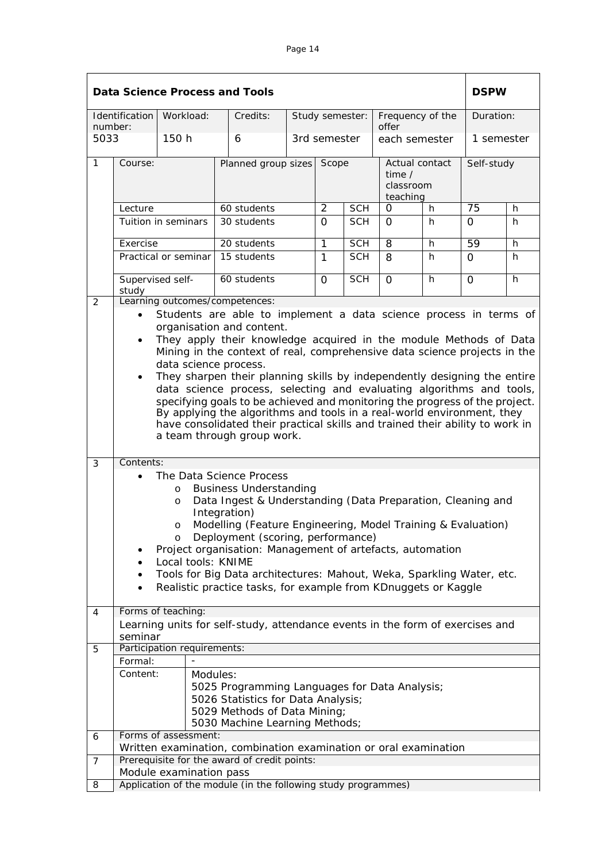<span id="page-4-0"></span>

|                | Data Science Process and Tools                                                                                                                                                                                                                                                                                                                                                                                                                                                                                                                                                                                                                                                                                                                                                                                                                                                                                                                                                                                                                                                                                                                                                                                                                                                                                                  |                             |                                                                                          |  |              |            |                                                   | <b>DSPW</b> |                 |   |  |
|----------------|---------------------------------------------------------------------------------------------------------------------------------------------------------------------------------------------------------------------------------------------------------------------------------------------------------------------------------------------------------------------------------------------------------------------------------------------------------------------------------------------------------------------------------------------------------------------------------------------------------------------------------------------------------------------------------------------------------------------------------------------------------------------------------------------------------------------------------------------------------------------------------------------------------------------------------------------------------------------------------------------------------------------------------------------------------------------------------------------------------------------------------------------------------------------------------------------------------------------------------------------------------------------------------------------------------------------------------|-----------------------------|------------------------------------------------------------------------------------------|--|--------------|------------|---------------------------------------------------|-------------|-----------------|---|--|
|                | Identification<br>Workload:<br>Credits:<br>Study semester:<br>Frequency of the<br>offer<br>number:                                                                                                                                                                                                                                                                                                                                                                                                                                                                                                                                                                                                                                                                                                                                                                                                                                                                                                                                                                                                                                                                                                                                                                                                                              |                             | Duration:                                                                                |  |              |            |                                                   |             |                 |   |  |
| 5033           |                                                                                                                                                                                                                                                                                                                                                                                                                                                                                                                                                                                                                                                                                                                                                                                                                                                                                                                                                                                                                                                                                                                                                                                                                                                                                                                                 | 150h                        | 6                                                                                        |  | 3rd semester |            | each semester                                     |             | 1 semester      |   |  |
| $\mathbf{1}$   | Course:                                                                                                                                                                                                                                                                                                                                                                                                                                                                                                                                                                                                                                                                                                                                                                                                                                                                                                                                                                                                                                                                                                                                                                                                                                                                                                                         |                             | Planned group sizes                                                                      |  | Scope        |            | Actual contact<br>time /<br>classroom<br>teaching |             | Self-study      |   |  |
|                | Lecture                                                                                                                                                                                                                                                                                                                                                                                                                                                                                                                                                                                                                                                                                                                                                                                                                                                                                                                                                                                                                                                                                                                                                                                                                                                                                                                         |                             | 60 students                                                                              |  | 2            | <b>SCH</b> | $\Omega$                                          | h           | $\overline{75}$ | h |  |
|                |                                                                                                                                                                                                                                                                                                                                                                                                                                                                                                                                                                                                                                                                                                                                                                                                                                                                                                                                                                                                                                                                                                                                                                                                                                                                                                                                 | Tuition in seminars         | 30 students                                                                              |  | $\Omega$     | <b>SCH</b> | 0                                                 | h           | $\Omega$        | h |  |
|                | Exercise                                                                                                                                                                                                                                                                                                                                                                                                                                                                                                                                                                                                                                                                                                                                                                                                                                                                                                                                                                                                                                                                                                                                                                                                                                                                                                                        |                             | 20 students                                                                              |  | 1            | <b>SCH</b> | 8                                                 | h           | 59              | h |  |
|                |                                                                                                                                                                                                                                                                                                                                                                                                                                                                                                                                                                                                                                                                                                                                                                                                                                                                                                                                                                                                                                                                                                                                                                                                                                                                                                                                 | Practical or seminar        | 15 students                                                                              |  | 1            | <b>SCH</b> | 8                                                 | h           | $\Omega$        | h |  |
|                | study                                                                                                                                                                                                                                                                                                                                                                                                                                                                                                                                                                                                                                                                                                                                                                                                                                                                                                                                                                                                                                                                                                                                                                                                                                                                                                                           |                             | 60 students                                                                              |  | $\Omega$     | <b>SCH</b> | 0                                                 | h           | $\Omega$        | h |  |
| 2<br>3         | Supervised self-<br>Learning outcomes/competences:<br>Students are able to implement a data science process in terms of<br>organisation and content.<br>They apply their knowledge acquired in the module Methods of Data<br>$\bullet$<br>Mining in the context of real, comprehensive data science projects in the<br>data science process.<br>They sharpen their planning skills by independently designing the entire<br>$\bullet$<br>data science process, selecting and evaluating algorithms and tools,<br>specifying goals to be achieved and monitoring the progress of the project.<br>By applying the algorithms and tools in a real-world environment, they<br>have consolidated their practical skills and trained their ability to work in<br>a team through group work.<br>Contents:<br>The Data Science Process<br><b>Business Understanding</b><br>O<br>Data Ingest & Understanding (Data Preparation, Cleaning and<br>O<br>Integration)<br>Modelling (Feature Engineering, Model Training & Evaluation)<br>O<br>Deployment (scoring, performance)<br>O<br>Project organisation: Management of artefacts, automation<br>Local tools: KNIME<br>Tools for Big Data architectures: Mahout, Weka, Sparkling Water, etc.<br>$\bullet$<br>Realistic practice tasks, for example from KDnuggets or Kaggle<br>$\bullet$ |                             |                                                                                          |  |              |            |                                                   |             |                 |   |  |
| $\overline{4}$ |                                                                                                                                                                                                                                                                                                                                                                                                                                                                                                                                                                                                                                                                                                                                                                                                                                                                                                                                                                                                                                                                                                                                                                                                                                                                                                                                 | Forms of teaching:          | Learning units for self-study, attendance events in the form of exercises and            |  |              |            |                                                   |             |                 |   |  |
|                | seminar                                                                                                                                                                                                                                                                                                                                                                                                                                                                                                                                                                                                                                                                                                                                                                                                                                                                                                                                                                                                                                                                                                                                                                                                                                                                                                                         |                             |                                                                                          |  |              |            |                                                   |             |                 |   |  |
| 5              |                                                                                                                                                                                                                                                                                                                                                                                                                                                                                                                                                                                                                                                                                                                                                                                                                                                                                                                                                                                                                                                                                                                                                                                                                                                                                                                                 | Participation requirements: |                                                                                          |  |              |            |                                                   |             |                 |   |  |
|                | Formal:                                                                                                                                                                                                                                                                                                                                                                                                                                                                                                                                                                                                                                                                                                                                                                                                                                                                                                                                                                                                                                                                                                                                                                                                                                                                                                                         |                             |                                                                                          |  |              |            |                                                   |             |                 |   |  |
|                | Content:                                                                                                                                                                                                                                                                                                                                                                                                                                                                                                                                                                                                                                                                                                                                                                                                                                                                                                                                                                                                                                                                                                                                                                                                                                                                                                                        | Modules:                    | 5025 Programming Languages for Data Analysis;<br>5026 Statistics for Data Analysis;      |  |              |            |                                                   |             |                 |   |  |
|                |                                                                                                                                                                                                                                                                                                                                                                                                                                                                                                                                                                                                                                                                                                                                                                                                                                                                                                                                                                                                                                                                                                                                                                                                                                                                                                                                 |                             | 5029 Methods of Data Mining;                                                             |  |              |            |                                                   |             |                 |   |  |
|                |                                                                                                                                                                                                                                                                                                                                                                                                                                                                                                                                                                                                                                                                                                                                                                                                                                                                                                                                                                                                                                                                                                                                                                                                                                                                                                                                 | Forms of assessment:        | 5030 Machine Learning Methods;                                                           |  |              |            |                                                   |             |                 |   |  |
| 6              |                                                                                                                                                                                                                                                                                                                                                                                                                                                                                                                                                                                                                                                                                                                                                                                                                                                                                                                                                                                                                                                                                                                                                                                                                                                                                                                                 |                             | Written examination, combination examination or oral examination                         |  |              |            |                                                   |             |                 |   |  |
| $\overline{7}$ |                                                                                                                                                                                                                                                                                                                                                                                                                                                                                                                                                                                                                                                                                                                                                                                                                                                                                                                                                                                                                                                                                                                                                                                                                                                                                                                                 |                             | Prerequisite for the award of credit points:                                             |  |              |            |                                                   |             |                 |   |  |
|                |                                                                                                                                                                                                                                                                                                                                                                                                                                                                                                                                                                                                                                                                                                                                                                                                                                                                                                                                                                                                                                                                                                                                                                                                                                                                                                                                 |                             |                                                                                          |  |              |            |                                                   |             |                 |   |  |
| 8              |                                                                                                                                                                                                                                                                                                                                                                                                                                                                                                                                                                                                                                                                                                                                                                                                                                                                                                                                                                                                                                                                                                                                                                                                                                                                                                                                 |                             | Module examination pass<br>Application of the module (in the following study programmes) |  |              |            |                                                   |             |                 |   |  |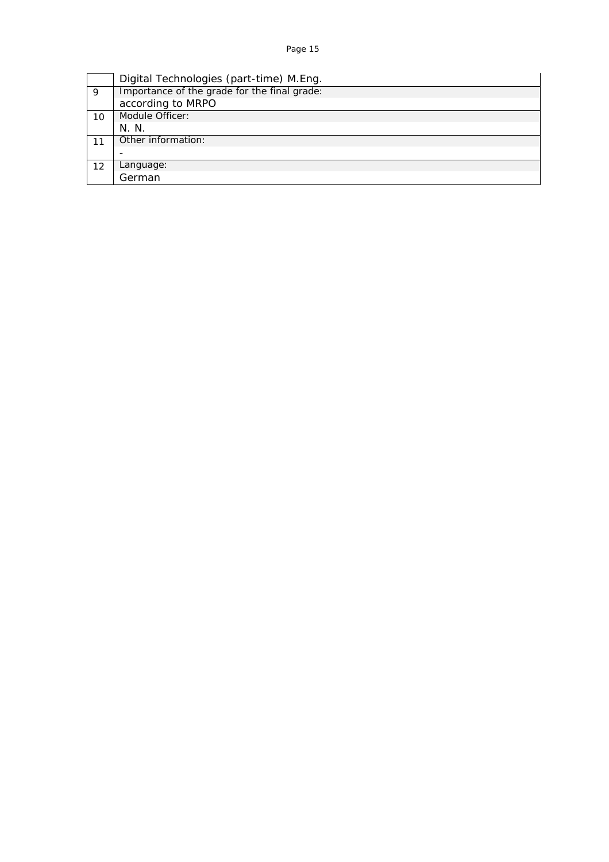|    | Digital Technologies (part-time) M.Eng.      |
|----|----------------------------------------------|
| 9  | Importance of the grade for the final grade: |
|    | according to MRPO                            |
| 10 | Module Officer:                              |
|    | N. N.                                        |
|    | Other information:                           |
|    |                                              |
| 12 | Language:                                    |
|    | German                                       |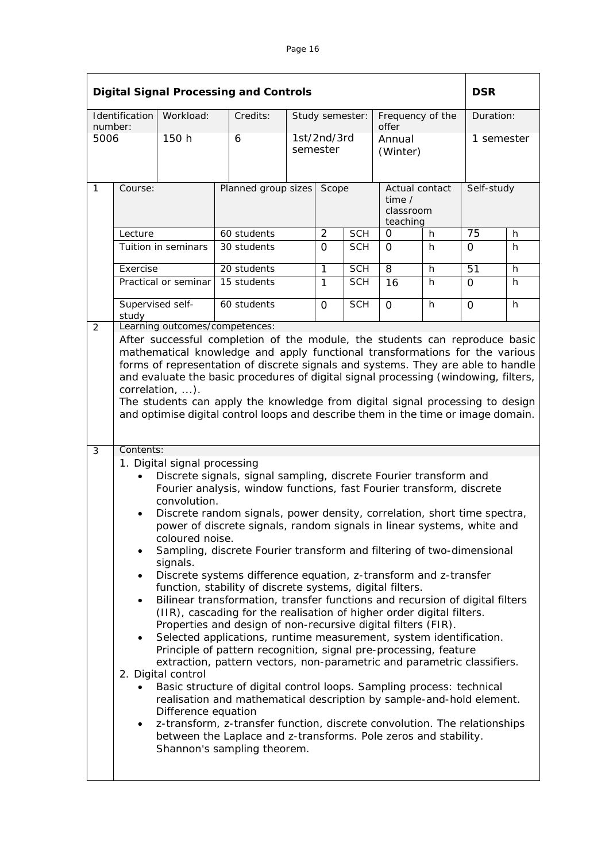<span id="page-6-0"></span>

|                                                                                                                                                                                                                                                                                                                                                                                                                                                                                                                                                                                                                                                                                                                                                                                                                                                                                                                                                                                                                                                                                                                                                                                                                                                                                                                                                                                                                                                                                                    | <b>Digital Signal Processing and Controls</b>                                                                                                                                                                                                                                                                                                                    |                      |                                               |  |                         |            |                    | <b>DSR</b> |                 |    |
|----------------------------------------------------------------------------------------------------------------------------------------------------------------------------------------------------------------------------------------------------------------------------------------------------------------------------------------------------------------------------------------------------------------------------------------------------------------------------------------------------------------------------------------------------------------------------------------------------------------------------------------------------------------------------------------------------------------------------------------------------------------------------------------------------------------------------------------------------------------------------------------------------------------------------------------------------------------------------------------------------------------------------------------------------------------------------------------------------------------------------------------------------------------------------------------------------------------------------------------------------------------------------------------------------------------------------------------------------------------------------------------------------------------------------------------------------------------------------------------------------|------------------------------------------------------------------------------------------------------------------------------------------------------------------------------------------------------------------------------------------------------------------------------------------------------------------------------------------------------------------|----------------------|-----------------------------------------------|--|-------------------------|------------|--------------------|------------|-----------------|----|
|                                                                                                                                                                                                                                                                                                                                                                                                                                                                                                                                                                                                                                                                                                                                                                                                                                                                                                                                                                                                                                                                                                                                                                                                                                                                                                                                                                                                                                                                                                    | Identification<br>Workload:<br>Credits:<br>Frequency of the<br>Study semester:<br>offer<br>number:                                                                                                                                                                                                                                                               |                      |                                               |  |                         | Duration:  |                    |            |                 |    |
| 5006                                                                                                                                                                                                                                                                                                                                                                                                                                                                                                                                                                                                                                                                                                                                                                                                                                                                                                                                                                                                                                                                                                                                                                                                                                                                                                                                                                                                                                                                                               |                                                                                                                                                                                                                                                                                                                                                                  | 150 h                | 6                                             |  | 1st/2nd/3rd<br>semester |            | Annual<br>(Winter) |            | 1 semester      |    |
| Planned group sizes<br>1<br>Scope<br>Course:<br>Actual contact<br>time $/$<br>classroom<br>teaching                                                                                                                                                                                                                                                                                                                                                                                                                                                                                                                                                                                                                                                                                                                                                                                                                                                                                                                                                                                                                                                                                                                                                                                                                                                                                                                                                                                                |                                                                                                                                                                                                                                                                                                                                                                  | Self-study           |                                               |  |                         |            |                    |            |                 |    |
|                                                                                                                                                                                                                                                                                                                                                                                                                                                                                                                                                                                                                                                                                                                                                                                                                                                                                                                                                                                                                                                                                                                                                                                                                                                                                                                                                                                                                                                                                                    | Lecture                                                                                                                                                                                                                                                                                                                                                          |                      | 60 students                                   |  | $\overline{2}$          | <b>SCH</b> | $\mathbf 0$        | h          | $\overline{75}$ | h  |
|                                                                                                                                                                                                                                                                                                                                                                                                                                                                                                                                                                                                                                                                                                                                                                                                                                                                                                                                                                                                                                                                                                                                                                                                                                                                                                                                                                                                                                                                                                    |                                                                                                                                                                                                                                                                                                                                                                  | Tuition in seminars  | 30 students                                   |  | $\Omega$                | <b>SCH</b> | $\Omega$           | h.         | 0               | h. |
|                                                                                                                                                                                                                                                                                                                                                                                                                                                                                                                                                                                                                                                                                                                                                                                                                                                                                                                                                                                                                                                                                                                                                                                                                                                                                                                                                                                                                                                                                                    | Exercise                                                                                                                                                                                                                                                                                                                                                         |                      | 20 students                                   |  | $\overline{1}$          | <b>SCH</b> | $\overline{8}$     | h          | 51              | h  |
|                                                                                                                                                                                                                                                                                                                                                                                                                                                                                                                                                                                                                                                                                                                                                                                                                                                                                                                                                                                                                                                                                                                                                                                                                                                                                                                                                                                                                                                                                                    |                                                                                                                                                                                                                                                                                                                                                                  | Practical or seminar | 15 students                                   |  | $\mathbf{1}$            | <b>SCH</b> | 16                 | h.         | 0               | h  |
|                                                                                                                                                                                                                                                                                                                                                                                                                                                                                                                                                                                                                                                                                                                                                                                                                                                                                                                                                                                                                                                                                                                                                                                                                                                                                                                                                                                                                                                                                                    | Supervised self-<br>study                                                                                                                                                                                                                                                                                                                                        |                      | 60 students<br>Learning outcomes/competences: |  | $\overline{O}$          | <b>SCH</b> | $\overline{O}$     | h.         | $\Omega$        | h  |
| 3                                                                                                                                                                                                                                                                                                                                                                                                                                                                                                                                                                                                                                                                                                                                                                                                                                                                                                                                                                                                                                                                                                                                                                                                                                                                                                                                                                                                                                                                                                  | forms of representation of discrete signals and systems. They are able to handle<br>and evaluate the basic procedures of digital signal processing (windowing, filters,<br>correlation, ).<br>The students can apply the knowledge from digital signal processing to design<br>and optimise digital control loops and describe them in the time or image domain. |                      |                                               |  |                         |            |                    |            |                 |    |
| Contents:<br>1. Digital signal processing<br>Discrete signals, signal sampling, discrete Fourier transform and<br>Fourier analysis, window functions, fast Fourier transform, discrete<br>convolution.<br>Discrete random signals, power density, correlation, short time spectra,<br>$\bullet$<br>power of discrete signals, random signals in linear systems, white and<br>coloured noise.<br>Sampling, discrete Fourier transform and filtering of two-dimensional<br>signals.<br>Discrete systems difference equation, z-transform and z-transfer<br>$\bullet$<br>function, stability of discrete systems, digital filters.<br>Bilinear transformation, transfer functions and recursion of digital filters<br>$\bullet$<br>(IIR), cascading for the realisation of higher order digital filters.<br>Properties and design of non-recursive digital filters (FIR).<br>Selected applications, runtime measurement, system identification.<br>$\bullet$<br>Principle of pattern recognition, signal pre-processing, feature<br>extraction, pattern vectors, non-parametric and parametric classifiers.<br>2. Digital control<br>Basic structure of digital control loops. Sampling process: technical<br>realisation and mathematical description by sample-and-hold element.<br>Difference equation<br>z-transform, z-transfer function, discrete convolution. The relationships<br>$\bullet$<br>between the Laplace and z-transforms. Pole zeros and stability.<br>Shannon's sampling theorem. |                                                                                                                                                                                                                                                                                                                                                                  |                      |                                               |  |                         |            |                    |            |                 |    |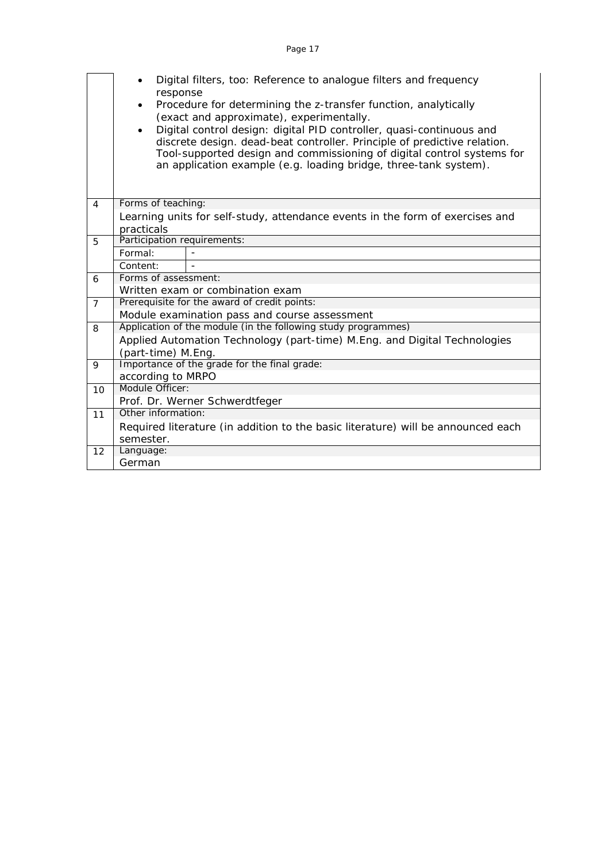| яО<br>- 16 |  |  |  |
|------------|--|--|--|
|------------|--|--|--|

|                | response<br>$\bullet$          | Digital filters, too: Reference to analogue filters and frequency<br>Procedure for determining the z-transfer function, analytically<br>(exact and approximate), experimentally.<br>Digital control design: digital PID controller, quasi-continuous and<br>discrete design. dead-beat controller. Principle of predictive relation.<br>Tool-supported design and commissioning of digital control systems for<br>an application example (e.g. loading bridge, three-tank system). |  |  |  |  |
|----------------|--------------------------------|------------------------------------------------------------------------------------------------------------------------------------------------------------------------------------------------------------------------------------------------------------------------------------------------------------------------------------------------------------------------------------------------------------------------------------------------------------------------------------|--|--|--|--|
| $\overline{4}$ | Forms of teaching:             |                                                                                                                                                                                                                                                                                                                                                                                                                                                                                    |  |  |  |  |
|                |                                | Learning units for self-study, attendance events in the form of exercises and                                                                                                                                                                                                                                                                                                                                                                                                      |  |  |  |  |
|                | practicals                     |                                                                                                                                                                                                                                                                                                                                                                                                                                                                                    |  |  |  |  |
| 5              | Participation requirements:    |                                                                                                                                                                                                                                                                                                                                                                                                                                                                                    |  |  |  |  |
|                | Formal:                        |                                                                                                                                                                                                                                                                                                                                                                                                                                                                                    |  |  |  |  |
|                | Content:                       |                                                                                                                                                                                                                                                                                                                                                                                                                                                                                    |  |  |  |  |
| 6              | Forms of assessment:           |                                                                                                                                                                                                                                                                                                                                                                                                                                                                                    |  |  |  |  |
|                |                                | Written exam or combination exam                                                                                                                                                                                                                                                                                                                                                                                                                                                   |  |  |  |  |
| $\overline{7}$ |                                | Prerequisite for the award of credit points:                                                                                                                                                                                                                                                                                                                                                                                                                                       |  |  |  |  |
|                |                                | Module examination pass and course assessment                                                                                                                                                                                                                                                                                                                                                                                                                                      |  |  |  |  |
| 8              |                                | Application of the module (in the following study programmes)                                                                                                                                                                                                                                                                                                                                                                                                                      |  |  |  |  |
|                |                                | Applied Automation Technology (part-time) M.Eng. and Digital Technologies                                                                                                                                                                                                                                                                                                                                                                                                          |  |  |  |  |
|                | (part-time) M.Eng.             |                                                                                                                                                                                                                                                                                                                                                                                                                                                                                    |  |  |  |  |
| 9              |                                | Importance of the grade for the final grade:                                                                                                                                                                                                                                                                                                                                                                                                                                       |  |  |  |  |
|                | according to MRPO              |                                                                                                                                                                                                                                                                                                                                                                                                                                                                                    |  |  |  |  |
| 10             | Module Officer:                |                                                                                                                                                                                                                                                                                                                                                                                                                                                                                    |  |  |  |  |
|                | Prof. Dr. Werner Schwerdtfeger |                                                                                                                                                                                                                                                                                                                                                                                                                                                                                    |  |  |  |  |
| 11             | Other information:             |                                                                                                                                                                                                                                                                                                                                                                                                                                                                                    |  |  |  |  |
|                |                                | Required literature (in addition to the basic literature) will be announced each                                                                                                                                                                                                                                                                                                                                                                                                   |  |  |  |  |
|                | semester.                      |                                                                                                                                                                                                                                                                                                                                                                                                                                                                                    |  |  |  |  |
| 12             | Language:                      |                                                                                                                                                                                                                                                                                                                                                                                                                                                                                    |  |  |  |  |
|                | German                         |                                                                                                                                                                                                                                                                                                                                                                                                                                                                                    |  |  |  |  |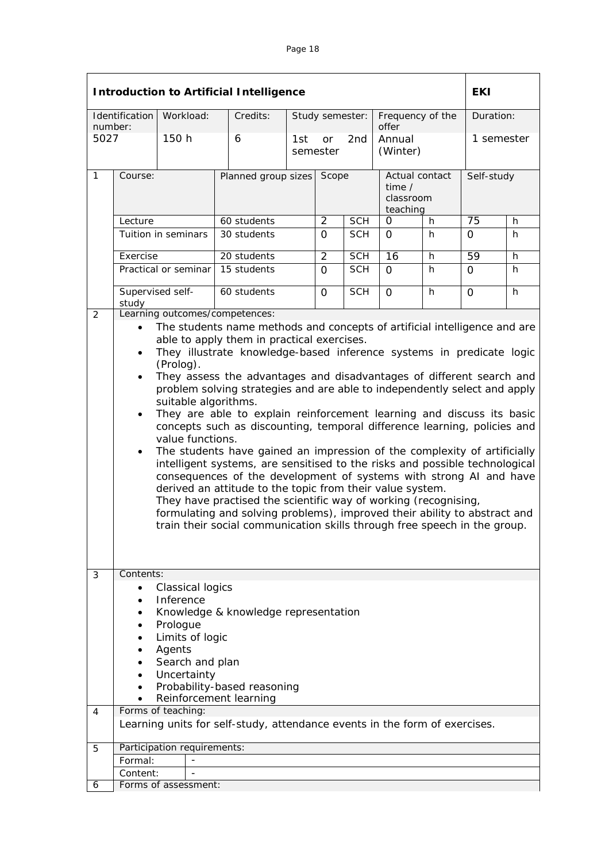<span id="page-8-0"></span>

|              |                                                                                                                                                                                                                                                                                                                                                                                                                                                                                                                                                                                                                                                                                                                                                                                                                                                                                                                      |                             | <b>Introduction to Artificial Intelligence</b>                                                                                                                                                                            |     |                 |                 |                                                   |    | <b>EKI</b>      |   |  |
|--------------|----------------------------------------------------------------------------------------------------------------------------------------------------------------------------------------------------------------------------------------------------------------------------------------------------------------------------------------------------------------------------------------------------------------------------------------------------------------------------------------------------------------------------------------------------------------------------------------------------------------------------------------------------------------------------------------------------------------------------------------------------------------------------------------------------------------------------------------------------------------------------------------------------------------------|-----------------------------|---------------------------------------------------------------------------------------------------------------------------------------------------------------------------------------------------------------------------|-----|-----------------|-----------------|---------------------------------------------------|----|-----------------|---|--|
| number:      | Identification                                                                                                                                                                                                                                                                                                                                                                                                                                                                                                                                                                                                                                                                                                                                                                                                                                                                                                       | Workload:                   | Credits:                                                                                                                                                                                                                  |     | Study semester: |                 | Frequency of the<br>offer                         |    | Duration:       |   |  |
| 5027         |                                                                                                                                                                                                                                                                                                                                                                                                                                                                                                                                                                                                                                                                                                                                                                                                                                                                                                                      | 150 h                       | 6                                                                                                                                                                                                                         | 1st | or<br>semester  | 2 <sub>nd</sub> | Annual<br>(Winter)                                |    | 1 semester      |   |  |
| $\mathbf{1}$ | Course:                                                                                                                                                                                                                                                                                                                                                                                                                                                                                                                                                                                                                                                                                                                                                                                                                                                                                                              |                             | Planned group sizes                                                                                                                                                                                                       |     | Scope           |                 | Actual contact<br>time /<br>classroom<br>teaching |    | Self-study      |   |  |
|              | Lecture                                                                                                                                                                                                                                                                                                                                                                                                                                                                                                                                                                                                                                                                                                                                                                                                                                                                                                              |                             | 60 students                                                                                                                                                                                                               |     | $\overline{2}$  | <b>SCH</b>      | $\mathbf 0$                                       | h. | $\overline{75}$ | h |  |
|              |                                                                                                                                                                                                                                                                                                                                                                                                                                                                                                                                                                                                                                                                                                                                                                                                                                                                                                                      | Tuition in seminars         | 30 students                                                                                                                                                                                                               |     | $\Omega$        | <b>SCH</b>      | $\Omega$                                          | h  | 0               | h |  |
|              | Exercise                                                                                                                                                                                                                                                                                                                                                                                                                                                                                                                                                                                                                                                                                                                                                                                                                                                                                                             |                             | 20 students                                                                                                                                                                                                               |     | $\overline{2}$  | <b>SCH</b>      | 16                                                | h  | 59              | h |  |
|              |                                                                                                                                                                                                                                                                                                                                                                                                                                                                                                                                                                                                                                                                                                                                                                                                                                                                                                                      | Practical or seminar        | 15 students                                                                                                                                                                                                               |     | $\Omega$        | <b>SCH</b>      | $\Omega$                                          | h. | $\mathsf{O}$    | h |  |
|              | Supervised self-<br>study                                                                                                                                                                                                                                                                                                                                                                                                                                                                                                                                                                                                                                                                                                                                                                                                                                                                                            |                             | 60 students<br>Learning outcomes/competences:                                                                                                                                                                             |     | $\Omega$        | <b>SCH</b>      | $\Omega$                                          | h  | 0               | h |  |
|              | The students name methods and concepts of artificial intelligence and are<br>able to apply them in practical exercises.<br>They illustrate knowledge-based inference systems in predicate logic<br>$\bullet$<br>(Prolog).<br>They assess the advantages and disadvantages of different search and<br>$\bullet$<br>problem solving strategies and are able to independently select and apply<br>suitable algorithms.<br>They are able to explain reinforcement learning and discuss its basic<br>$\bullet$<br>concepts such as discounting, temporal difference learning, policies and<br>value functions.<br>The students have gained an impression of the complexity of artificially<br>$\bullet$<br>intelligent systems, are sensitised to the risks and possible technological<br>consequences of the development of systems with strong AI and have<br>derived an attitude to the topic from their value system. |                             |                                                                                                                                                                                                                           |     |                 |                 |                                                   |    |                 |   |  |
| 3            | Contents:                                                                                                                                                                                                                                                                                                                                                                                                                                                                                                                                                                                                                                                                                                                                                                                                                                                                                                            |                             | They have practised the scientific way of working (recognising,<br>formulating and solving problems), improved their ability to abstract and<br>train their social communication skills through free speech in the group. |     |                 |                 |                                                   |    |                 |   |  |
| 4            | Classical logics<br>$\bullet$<br>Inference<br>Knowledge & knowledge representation<br>Prologue<br>Limits of logic<br>Agents<br>Search and plan<br>Uncertainty<br>Probability-based reasoning<br>Reinforcement learning<br>Forms of teaching:                                                                                                                                                                                                                                                                                                                                                                                                                                                                                                                                                                                                                                                                         |                             |                                                                                                                                                                                                                           |     |                 |                 |                                                   |    |                 |   |  |
| 5            |                                                                                                                                                                                                                                                                                                                                                                                                                                                                                                                                                                                                                                                                                                                                                                                                                                                                                                                      | Participation requirements: | Learning units for self-study, attendance events in the form of exercises.                                                                                                                                                |     |                 |                 |                                                   |    |                 |   |  |
|              | Formal:                                                                                                                                                                                                                                                                                                                                                                                                                                                                                                                                                                                                                                                                                                                                                                                                                                                                                                              |                             |                                                                                                                                                                                                                           |     |                 |                 |                                                   |    |                 |   |  |
|              | Content:                                                                                                                                                                                                                                                                                                                                                                                                                                                                                                                                                                                                                                                                                                                                                                                                                                                                                                             |                             |                                                                                                                                                                                                                           |     |                 |                 |                                                   |    |                 |   |  |
| 6            |                                                                                                                                                                                                                                                                                                                                                                                                                                                                                                                                                                                                                                                                                                                                                                                                                                                                                                                      | Forms of assessment:        |                                                                                                                                                                                                                           |     |                 |                 |                                                   |    |                 |   |  |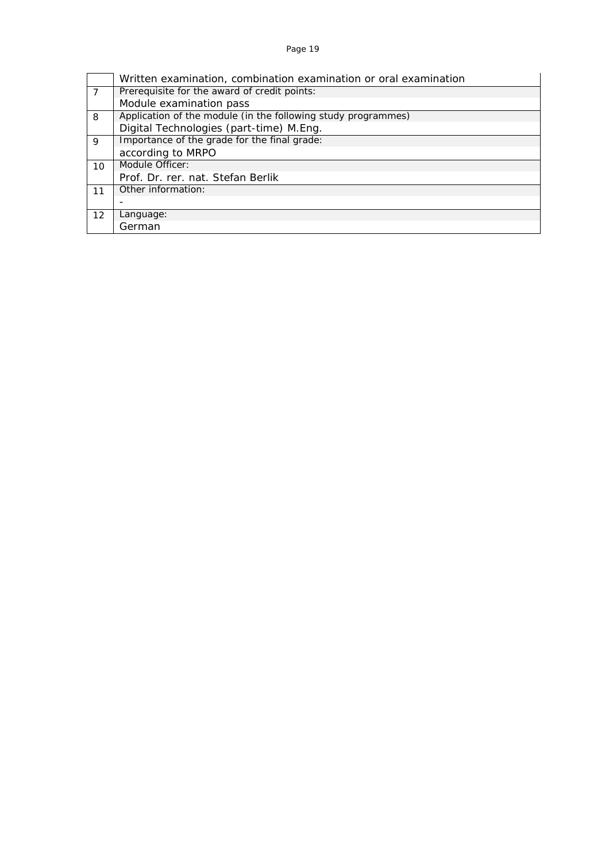|                | Written examination, combination examination or oral examination |
|----------------|------------------------------------------------------------------|
| $\overline{7}$ | Prerequisite for the award of credit points:                     |
|                | Module examination pass                                          |
| 8              | Application of the module (in the following study programmes)    |
|                | Digital Technologies (part-time) M.Eng.                          |
| 9              | Importance of the grade for the final grade:                     |
|                | according to MRPO                                                |
| 10             | Module Officer:                                                  |
|                | Prof. Dr. rer. nat. Stefan Berlik                                |
| 11             | Other information:                                               |
|                |                                                                  |
| 12             | Language:                                                        |
|                | German                                                           |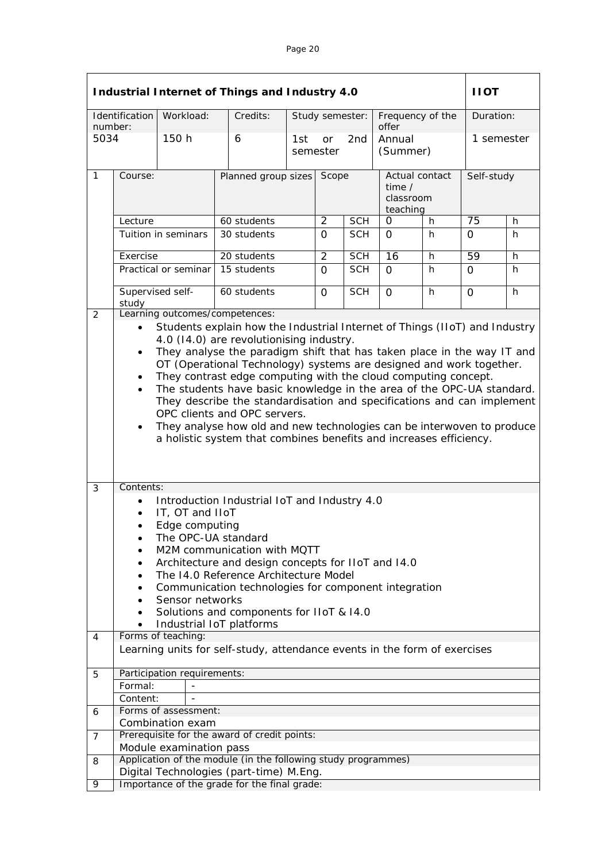<span id="page-10-0"></span>

|                 | Industrial Internet of Things and Industry 4.0                                                                                                                                                                                                                                                                                                                                                                                                                                                                                                                                                                                                                                                                                   | <b>IIOT</b>                 |                                                                                                          |                       |                              |                 |                                                   |   |            |           |  |
|-----------------|----------------------------------------------------------------------------------------------------------------------------------------------------------------------------------------------------------------------------------------------------------------------------------------------------------------------------------------------------------------------------------------------------------------------------------------------------------------------------------------------------------------------------------------------------------------------------------------------------------------------------------------------------------------------------------------------------------------------------------|-----------------------------|----------------------------------------------------------------------------------------------------------|-----------------------|------------------------------|-----------------|---------------------------------------------------|---|------------|-----------|--|
|                 | Identification                                                                                                                                                                                                                                                                                                                                                                                                                                                                                                                                                                                                                                                                                                                   | Workload:                   | Credits:                                                                                                 |                       | Study semester:              |                 | Frequency of the                                  |   |            | Duration: |  |
| number:<br>5034 |                                                                                                                                                                                                                                                                                                                                                                                                                                                                                                                                                                                                                                                                                                                                  | 150 h                       | 6                                                                                                        | 1st<br>or<br>semester |                              | 2 <sub>nd</sub> | offer<br>Annual<br>(Summer)                       |   | 1 semester |           |  |
| $\mathbf{1}$    | Course:                                                                                                                                                                                                                                                                                                                                                                                                                                                                                                                                                                                                                                                                                                                          |                             |                                                                                                          | Planned group sizes   |                              | Scope           | Actual contact<br>time /<br>classroom<br>teaching |   | Self-study |           |  |
|                 | Lecture                                                                                                                                                                                                                                                                                                                                                                                                                                                                                                                                                                                                                                                                                                                          |                             | 60 students                                                                                              |                       | $\overline{2}$<br><b>SCH</b> |                 | 0<br>h.                                           |   | 75         | h         |  |
|                 |                                                                                                                                                                                                                                                                                                                                                                                                                                                                                                                                                                                                                                                                                                                                  | Tuition in seminars         | 30 students                                                                                              |                       | $\Omega$                     | <b>SCH</b>      | 0                                                 | h | $\Omega$   | h.        |  |
|                 | Exercise                                                                                                                                                                                                                                                                                                                                                                                                                                                                                                                                                                                                                                                                                                                         |                             | 20 students                                                                                              |                       | $\overline{2}$               | <b>SCH</b>      | 16                                                | h | 59         | h         |  |
|                 |                                                                                                                                                                                                                                                                                                                                                                                                                                                                                                                                                                                                                                                                                                                                  | Practical or seminar        | 15 students                                                                                              |                       | $\Omega$                     | <b>SCH</b>      | $\Omega$                                          | h | $\Omega$   | h.        |  |
| 2               | Supervised self-<br>study                                                                                                                                                                                                                                                                                                                                                                                                                                                                                                                                                                                                                                                                                                        |                             | 60 students<br>Learning outcomes/competences:                                                            |                       | $\Omega$                     | <b>SCH</b>      | $\Omega$                                          | h | $\Omega$   | h         |  |
|                 | Students explain how the Industrial Internet of Things (IIoT) and Industry<br>4.0 (14.0) are revolutionising industry.<br>They analyse the paradigm shift that has taken place in the way IT and<br>$\bullet$<br>OT (Operational Technology) systems are designed and work together.<br>They contrast edge computing with the cloud computing concept.<br>$\bullet$<br>The students have basic knowledge in the area of the OPC-UA standard.<br>$\bullet$<br>They describe the standardisation and specifications and can implement<br>OPC clients and OPC servers.<br>They analyse how old and new technologies can be interwoven to produce<br>$\bullet$<br>a holistic system that combines benefits and increases efficiency. |                             |                                                                                                          |                       |                              |                 |                                                   |   |            |           |  |
| 3               | Contents:<br>Introduction Industrial IoT and Industry 4.0<br>$\bullet$<br>IT, OT and IIoT<br>$\bullet$<br>Edge computing<br>$\bullet$<br>The OPC-UA standard<br>$\bullet$<br>M2M communication with MQTT<br>Architecture and design concepts for IIoT and I4.0<br>The 14.0 Reference Architecture Model<br>Communication technologies for component integration<br>Sensor networks<br>Solutions and components for IIoT & I4.0                                                                                                                                                                                                                                                                                                   |                             |                                                                                                          |                       |                              |                 |                                                   |   |            |           |  |
| 4               |                                                                                                                                                                                                                                                                                                                                                                                                                                                                                                                                                                                                                                                                                                                                  | Forms of teaching:          |                                                                                                          |                       |                              |                 |                                                   |   |            |           |  |
|                 |                                                                                                                                                                                                                                                                                                                                                                                                                                                                                                                                                                                                                                                                                                                                  |                             | Learning units for self-study, attendance events in the form of exercises                                |                       |                              |                 |                                                   |   |            |           |  |
| 5               |                                                                                                                                                                                                                                                                                                                                                                                                                                                                                                                                                                                                                                                                                                                                  | Participation requirements: |                                                                                                          |                       |                              |                 |                                                   |   |            |           |  |
|                 | Formal:                                                                                                                                                                                                                                                                                                                                                                                                                                                                                                                                                                                                                                                                                                                          |                             |                                                                                                          |                       |                              |                 |                                                   |   |            |           |  |
|                 | Content:                                                                                                                                                                                                                                                                                                                                                                                                                                                                                                                                                                                                                                                                                                                         |                             |                                                                                                          |                       |                              |                 |                                                   |   |            |           |  |
| 6               |                                                                                                                                                                                                                                                                                                                                                                                                                                                                                                                                                                                                                                                                                                                                  | Forms of assessment:        |                                                                                                          |                       |                              |                 |                                                   |   |            |           |  |
|                 |                                                                                                                                                                                                                                                                                                                                                                                                                                                                                                                                                                                                                                                                                                                                  | Combination exam            |                                                                                                          |                       |                              |                 |                                                   |   |            |           |  |
| 7               |                                                                                                                                                                                                                                                                                                                                                                                                                                                                                                                                                                                                                                                                                                                                  | Module examination pass     | Prerequisite for the award of credit points:                                                             |                       |                              |                 |                                                   |   |            |           |  |
|                 |                                                                                                                                                                                                                                                                                                                                                                                                                                                                                                                                                                                                                                                                                                                                  |                             |                                                                                                          |                       |                              |                 |                                                   |   |            |           |  |
| 8               |                                                                                                                                                                                                                                                                                                                                                                                                                                                                                                                                                                                                                                                                                                                                  |                             | Application of the module (in the following study programmes)<br>Digital Technologies (part-time) M.Eng. |                       |                              |                 |                                                   |   |            |           |  |
| 9               |                                                                                                                                                                                                                                                                                                                                                                                                                                                                                                                                                                                                                                                                                                                                  |                             | Importance of the grade for the final grade:                                                             |                       |                              |                 |                                                   |   |            |           |  |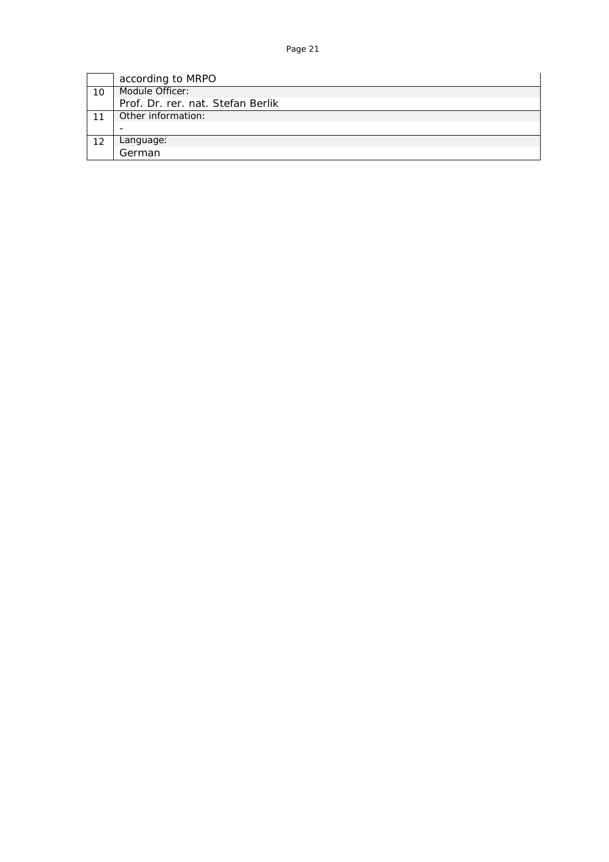|     | according to MRPO                 |
|-----|-----------------------------------|
| 10  | Module Officer:                   |
|     | Prof. Dr. rer. nat. Stefan Berlik |
|     | Other information:                |
|     |                                   |
| -12 | Language:                         |
|     | German                            |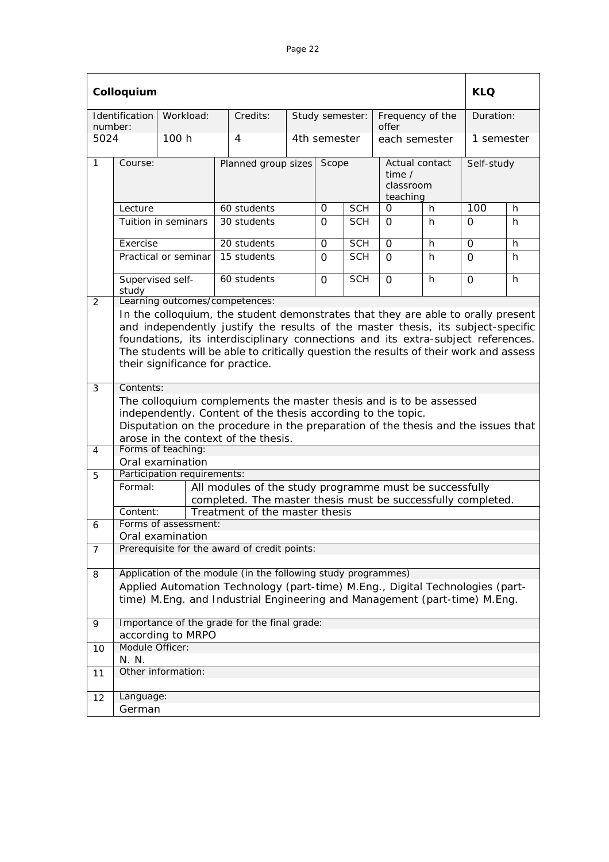|--|--|

<span id="page-12-0"></span>

|                | Colloquium                                                                                                                                                                                                                                                                                                                                                                            |                             |                                                                                                                                                                                                                             |                     |                 |                 |                                                     |   |            |            |
|----------------|---------------------------------------------------------------------------------------------------------------------------------------------------------------------------------------------------------------------------------------------------------------------------------------------------------------------------------------------------------------------------------------|-----------------------------|-----------------------------------------------------------------------------------------------------------------------------------------------------------------------------------------------------------------------------|---------------------|-----------------|-----------------|-----------------------------------------------------|---|------------|------------|
| number:        | Identification                                                                                                                                                                                                                                                                                                                                                                        | Workload:                   | Credits:                                                                                                                                                                                                                    |                     |                 | Study semester: | Frequency of the<br>offer                           |   | Duration:  |            |
| 5024           |                                                                                                                                                                                                                                                                                                                                                                                       | 100h                        | $\overline{4}$                                                                                                                                                                                                              |                     | 4th semester    |                 | each semester                                       |   |            | 1 semester |
| $\mathbf{1}$   | Course:                                                                                                                                                                                                                                                                                                                                                                               |                             |                                                                                                                                                                                                                             | Planned group sizes |                 | Scope           | Actual contact<br>time $/$<br>classroom<br>teaching |   | Self-study |            |
|                | Lecture                                                                                                                                                                                                                                                                                                                                                                               |                             | 60 students                                                                                                                                                                                                                 |                     | <b>SCH</b><br>0 |                 | 0                                                   | h | 100        | h          |
|                |                                                                                                                                                                                                                                                                                                                                                                                       | Tuition in seminars         | 30 students                                                                                                                                                                                                                 |                     | $\Omega$        | <b>SCH</b>      | $\Omega$                                            | h | 0          | h          |
|                | Exercise                                                                                                                                                                                                                                                                                                                                                                              |                             | 20 students                                                                                                                                                                                                                 |                     | $\Omega$        | <b>SCH</b>      | $\Omega$                                            | h | $\Omega$   | h          |
|                |                                                                                                                                                                                                                                                                                                                                                                                       | Practical or seminar        | 15 students                                                                                                                                                                                                                 |                     | $\Omega$        | <b>SCH</b>      | $\Omega$                                            | h | $\Omega$   | h.         |
|                | Supervised self-<br>study                                                                                                                                                                                                                                                                                                                                                             |                             | 60 students                                                                                                                                                                                                                 | $\Omega$            |                 | <b>SCH</b>      | $\Omega$                                            | h | $\Omega$   | h.         |
| 2              |                                                                                                                                                                                                                                                                                                                                                                                       |                             | Learning outcomes/competences:                                                                                                                                                                                              |                     |                 |                 |                                                     |   |            |            |
|                | In the colloquium, the student demonstrates that they are able to orally present<br>and independently justify the results of the master thesis, its subject-specific<br>foundations, its interdisciplinary connections and its extra-subject references.<br>The students will be able to critically question the results of their work and assess<br>their significance for practice. |                             |                                                                                                                                                                                                                             |                     |                 |                 |                                                     |   |            |            |
| 3              | Contents:                                                                                                                                                                                                                                                                                                                                                                             |                             |                                                                                                                                                                                                                             |                     |                 |                 |                                                     |   |            |            |
| $\overline{4}$ | The colloquium complements the master thesis and is to be assessed<br>independently. Content of the thesis according to the topic.<br>Disputation on the procedure in the preparation of the thesis and the issues that<br>arose in the context of the thesis.<br>Forms of teaching:                                                                                                  |                             |                                                                                                                                                                                                                             |                     |                 |                 |                                                     |   |            |            |
|                |                                                                                                                                                                                                                                                                                                                                                                                       | Oral examination            |                                                                                                                                                                                                                             |                     |                 |                 |                                                     |   |            |            |
| 5              |                                                                                                                                                                                                                                                                                                                                                                                       | Participation requirements: |                                                                                                                                                                                                                             |                     |                 |                 |                                                     |   |            |            |
|                | Formal:                                                                                                                                                                                                                                                                                                                                                                               |                             | All modules of the study programme must be successfully<br>completed. The master thesis must be successfully completed.                                                                                                     |                     |                 |                 |                                                     |   |            |            |
|                | Content:                                                                                                                                                                                                                                                                                                                                                                              | Forms of assessment:        | Treatment of the master thesis                                                                                                                                                                                              |                     |                 |                 |                                                     |   |            |            |
| 6              |                                                                                                                                                                                                                                                                                                                                                                                       | Oral examination            |                                                                                                                                                                                                                             |                     |                 |                 |                                                     |   |            |            |
| $\overline{7}$ |                                                                                                                                                                                                                                                                                                                                                                                       |                             | Prerequisite for the award of credit points:                                                                                                                                                                                |                     |                 |                 |                                                     |   |            |            |
| 8              |                                                                                                                                                                                                                                                                                                                                                                                       |                             | Application of the module (in the following study programmes)<br>Applied Automation Technology (part-time) M.Eng., Digital Technologies (part-<br>time) M.Eng. and Industrial Engineering and Management (part-time) M.Eng. |                     |                 |                 |                                                     |   |            |            |
| 9              |                                                                                                                                                                                                                                                                                                                                                                                       |                             | Importance of the grade for the final grade:                                                                                                                                                                                |                     |                 |                 |                                                     |   |            |            |
|                |                                                                                                                                                                                                                                                                                                                                                                                       | according to MRPO           |                                                                                                                                                                                                                             |                     |                 |                 |                                                     |   |            |            |
| 10             | Module Officer:<br>N. N.                                                                                                                                                                                                                                                                                                                                                              |                             |                                                                                                                                                                                                                             |                     |                 |                 |                                                     |   |            |            |
| 11             |                                                                                                                                                                                                                                                                                                                                                                                       | Other information:          |                                                                                                                                                                                                                             |                     |                 |                 |                                                     |   |            |            |
|                |                                                                                                                                                                                                                                                                                                                                                                                       |                             |                                                                                                                                                                                                                             |                     |                 |                 |                                                     |   |            |            |
| 12             | Language:                                                                                                                                                                                                                                                                                                                                                                             |                             |                                                                                                                                                                                                                             |                     |                 |                 |                                                     |   |            |            |
|                | German                                                                                                                                                                                                                                                                                                                                                                                |                             |                                                                                                                                                                                                                             |                     |                 |                 |                                                     |   |            |            |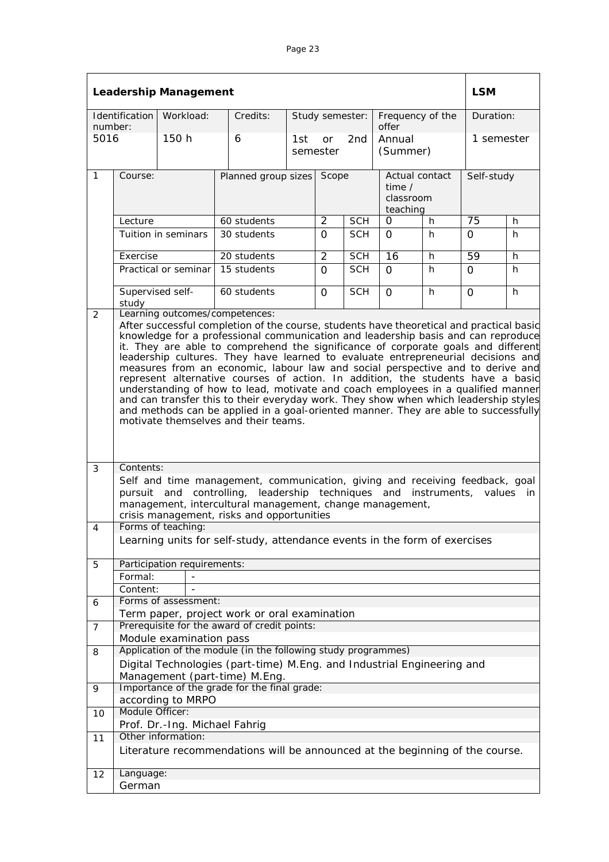<span id="page-13-0"></span>

|                | <b>Leadership Management</b>                                                                                                                                                                                                                                                                                                                                                                                                                                                                                                                                                                                                                                                                                                               |                               |                                                                                                                                                          |                     |                       |                 |                                                     |              |                 |           |  |
|----------------|--------------------------------------------------------------------------------------------------------------------------------------------------------------------------------------------------------------------------------------------------------------------------------------------------------------------------------------------------------------------------------------------------------------------------------------------------------------------------------------------------------------------------------------------------------------------------------------------------------------------------------------------------------------------------------------------------------------------------------------------|-------------------------------|----------------------------------------------------------------------------------------------------------------------------------------------------------|---------------------|-----------------------|-----------------|-----------------------------------------------------|--------------|-----------------|-----------|--|
| number:        | Identification                                                                                                                                                                                                                                                                                                                                                                                                                                                                                                                                                                                                                                                                                                                             | Workload:                     | Credits:                                                                                                                                                 |                     | Study semester:       |                 | Frequency of the<br>offer                           |              |                 | Duration: |  |
| 5016           |                                                                                                                                                                                                                                                                                                                                                                                                                                                                                                                                                                                                                                                                                                                                            | 150 h                         | 6                                                                                                                                                        | 1st                 | <b>or</b><br>semester | 2 <sub>nd</sub> | Annual<br>(Summer)                                  |              | 1 semester      |           |  |
| $\mathbf{1}$   | Course:                                                                                                                                                                                                                                                                                                                                                                                                                                                                                                                                                                                                                                                                                                                                    |                               |                                                                                                                                                          | Planned group sizes |                       | Scope           | Actual contact<br>time $/$<br>classroom<br>teaching |              | Self-study      |           |  |
|                | Lecture                                                                                                                                                                                                                                                                                                                                                                                                                                                                                                                                                                                                                                                                                                                                    |                               | 60 students                                                                                                                                              |                     | $\overline{2}$        | <b>SCH</b>      | $\Omega$                                            | h.           | $\overline{75}$ | h         |  |
|                |                                                                                                                                                                                                                                                                                                                                                                                                                                                                                                                                                                                                                                                                                                                                            | Tuition in seminars           | 30 students                                                                                                                                              |                     | $\Omega$              | <b>SCH</b>      | $\Omega$                                            | h.           | $\Omega$        | h.        |  |
|                | Exercise                                                                                                                                                                                                                                                                                                                                                                                                                                                                                                                                                                                                                                                                                                                                   |                               | $20$ students                                                                                                                                            |                     | $\overline{2}$        | <b>SCH</b>      | 16                                                  | h            | 59              | h         |  |
|                |                                                                                                                                                                                                                                                                                                                                                                                                                                                                                                                                                                                                                                                                                                                                            | Practical or seminar          | 15 students                                                                                                                                              |                     | $\Omega$              | <b>SCH</b>      | 0                                                   | h.           | $\Omega$        | h         |  |
|                | Supervised self-<br>study                                                                                                                                                                                                                                                                                                                                                                                                                                                                                                                                                                                                                                                                                                                  |                               | 60 students<br>Learning outcomes/competences:                                                                                                            |                     | $\Omega$              | <b>SCH</b>      | $\Omega$                                            | h.           | $\Omega$        | h         |  |
|                | knowledge for a professional communication and leadership basis and can reproduce<br>it. They are able to comprehend the significance of corporate goals and different<br>leadership cultures. They have learned to evaluate entrepreneurial decisions and<br>measures from an economic, labour law and social perspective and to derive and<br>represent alternative courses of action. In addition, the students have a basic<br>understanding of how to lead, motivate and coach employees in a qualified manner<br>and can transfer this to their everyday work. They show when which leadership styles<br>and methods can be applied in a goal-oriented manner. They are able to successfully<br>motivate themselves and their teams. |                               |                                                                                                                                                          |                     |                       |                 |                                                     |              |                 |           |  |
| 3              | Contents:<br>pursuit                                                                                                                                                                                                                                                                                                                                                                                                                                                                                                                                                                                                                                                                                                                       | and                           | Self and time management, communication, giving and receiving feedback, goal<br>controlling,<br>management, intercultural management, change management, |                     |                       |                 | leadership techniques and                           | instruments, |                 | values in |  |
|                |                                                                                                                                                                                                                                                                                                                                                                                                                                                                                                                                                                                                                                                                                                                                            | Forms of teaching:            | crisis management, risks and opportunities                                                                                                               |                     |                       |                 |                                                     |              |                 |           |  |
| 4              |                                                                                                                                                                                                                                                                                                                                                                                                                                                                                                                                                                                                                                                                                                                                            |                               | Learning units for self-study, attendance events in the form of exercises                                                                                |                     |                       |                 |                                                     |              |                 |           |  |
|                |                                                                                                                                                                                                                                                                                                                                                                                                                                                                                                                                                                                                                                                                                                                                            |                               |                                                                                                                                                          |                     |                       |                 |                                                     |              |                 |           |  |
| 5              |                                                                                                                                                                                                                                                                                                                                                                                                                                                                                                                                                                                                                                                                                                                                            | Participation requirements:   |                                                                                                                                                          |                     |                       |                 |                                                     |              |                 |           |  |
|                | Formal:                                                                                                                                                                                                                                                                                                                                                                                                                                                                                                                                                                                                                                                                                                                                    |                               |                                                                                                                                                          |                     |                       |                 |                                                     |              |                 |           |  |
|                | Content:                                                                                                                                                                                                                                                                                                                                                                                                                                                                                                                                                                                                                                                                                                                                   |                               |                                                                                                                                                          |                     |                       |                 |                                                     |              |                 |           |  |
| 6              |                                                                                                                                                                                                                                                                                                                                                                                                                                                                                                                                                                                                                                                                                                                                            | Forms of assessment:          | Term paper, project work or oral examination                                                                                                             |                     |                       |                 |                                                     |              |                 |           |  |
| $\overline{7}$ |                                                                                                                                                                                                                                                                                                                                                                                                                                                                                                                                                                                                                                                                                                                                            |                               | Prerequisite for the award of credit points:                                                                                                             |                     |                       |                 |                                                     |              |                 |           |  |
|                |                                                                                                                                                                                                                                                                                                                                                                                                                                                                                                                                                                                                                                                                                                                                            | Module examination pass       |                                                                                                                                                          |                     |                       |                 |                                                     |              |                 |           |  |
| 8              |                                                                                                                                                                                                                                                                                                                                                                                                                                                                                                                                                                                                                                                                                                                                            |                               | Application of the module (in the following study programmes)                                                                                            |                     |                       |                 |                                                     |              |                 |           |  |
|                |                                                                                                                                                                                                                                                                                                                                                                                                                                                                                                                                                                                                                                                                                                                                            |                               | Digital Technologies (part-time) M.Eng. and Industrial Engineering and<br>Management (part-time) M.Eng.                                                  |                     |                       |                 |                                                     |              |                 |           |  |
| 9              |                                                                                                                                                                                                                                                                                                                                                                                                                                                                                                                                                                                                                                                                                                                                            |                               | Importance of the grade for the final grade:                                                                                                             |                     |                       |                 |                                                     |              |                 |           |  |
|                | Module Officer:                                                                                                                                                                                                                                                                                                                                                                                                                                                                                                                                                                                                                                                                                                                            | according to MRPO             |                                                                                                                                                          |                     |                       |                 |                                                     |              |                 |           |  |
| 10             |                                                                                                                                                                                                                                                                                                                                                                                                                                                                                                                                                                                                                                                                                                                                            | Prof. Dr.-Ing. Michael Fahrig |                                                                                                                                                          |                     |                       |                 |                                                     |              |                 |           |  |
| 11             |                                                                                                                                                                                                                                                                                                                                                                                                                                                                                                                                                                                                                                                                                                                                            | Other information:            |                                                                                                                                                          |                     |                       |                 |                                                     |              |                 |           |  |
|                |                                                                                                                                                                                                                                                                                                                                                                                                                                                                                                                                                                                                                                                                                                                                            |                               | Literature recommendations will be announced at the beginning of the course.                                                                             |                     |                       |                 |                                                     |              |                 |           |  |
| 12             | Language:<br>German                                                                                                                                                                                                                                                                                                                                                                                                                                                                                                                                                                                                                                                                                                                        |                               |                                                                                                                                                          |                     |                       |                 |                                                     |              |                 |           |  |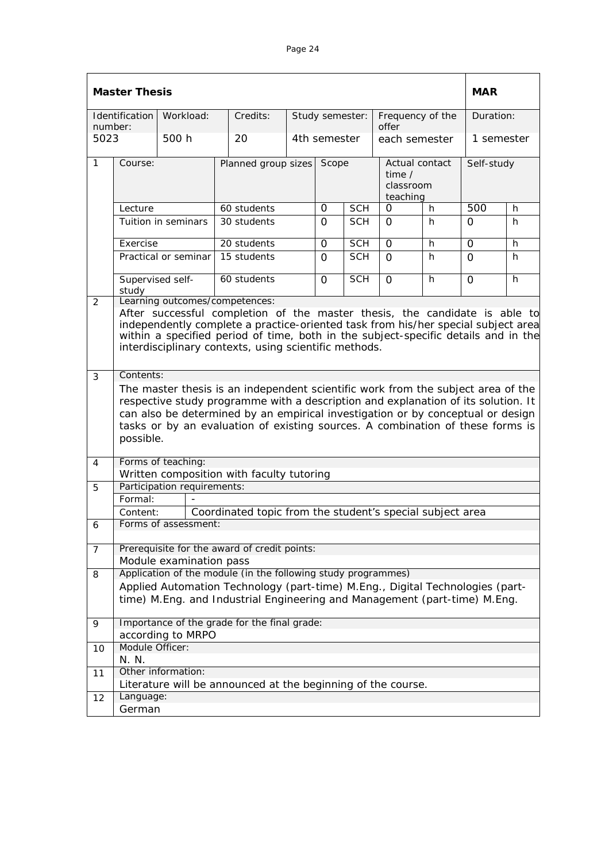| ואי<br>16 |  |
|-----------|--|
|-----------|--|

<span id="page-14-0"></span>

|                | <b>Master Thesis</b>                                                                                                                                                                                                                                                                                                                                                 |                             |                                                                                                                                                            |   |                 |                 |               |                                         |            |            |
|----------------|----------------------------------------------------------------------------------------------------------------------------------------------------------------------------------------------------------------------------------------------------------------------------------------------------------------------------------------------------------------------|-----------------------------|------------------------------------------------------------------------------------------------------------------------------------------------------------|---|-----------------|-----------------|---------------|-----------------------------------------|------------|------------|
| number:        | Identification                                                                                                                                                                                                                                                                                                                                                       | Workload:                   | Credits:                                                                                                                                                   |   |                 | Study semester: | offer         | Frequency of the                        | Duration:  |            |
| 5023           |                                                                                                                                                                                                                                                                                                                                                                      | 500 h                       | 20                                                                                                                                                         |   | 4th semester    |                 | each semester |                                         | 1 semester |            |
| $\mathbf{1}$   | Course:                                                                                                                                                                                                                                                                                                                                                              |                             | Planned group sizes                                                                                                                                        |   | Scope           |                 | time $/$      | Actual contact<br>classroom<br>teaching |            | Self-study |
|                | Lecture                                                                                                                                                                                                                                                                                                                                                              |                             | 60 students                                                                                                                                                |   | 0<br><b>SCH</b> |                 | 0             | h                                       | 500        | h          |
|                | Tuition in seminars<br>30 students                                                                                                                                                                                                                                                                                                                                   |                             |                                                                                                                                                            | 0 | <b>SCH</b>      | 0               | h             | 0                                       | h          |            |
|                | Exercise                                                                                                                                                                                                                                                                                                                                                             |                             | 20 students                                                                                                                                                |   | $\Omega$        | <b>SCH</b>      | $\Omega$      | h                                       | $\Omega$   | h          |
|                | 15 students<br>Practical or seminar                                                                                                                                                                                                                                                                                                                                  |                             |                                                                                                                                                            | 0 | <b>SCH</b>      | $\Omega$        | h             | $\Omega$                                | h          |            |
|                | Supervised self-<br>study                                                                                                                                                                                                                                                                                                                                            |                             | 60 students<br>Learning outcomes/competences:                                                                                                              |   | $\Omega$        | <b>SCH</b>      | $\Omega$      | h                                       | $\Omega$   | h          |
| 3              | After successful completion of the master thesis, the candidate is able to<br>independently complete a practice-oriented task from his/her special subject area<br>within a specified period of time, both in the subject-specific details and in the<br>interdisciplinary contexts, using scientific methods.                                                       |                             |                                                                                                                                                            |   |                 |                 |               |                                         |            |            |
|                | Contents:<br>The master thesis is an independent scientific work from the subject area of the<br>respective study programme with a description and explanation of its solution. It<br>can also be determined by an empirical investigation or by conceptual or design<br>tasks or by an evaluation of existing sources. A combination of these forms is<br>possible. |                             |                                                                                                                                                            |   |                 |                 |               |                                         |            |            |
| $\overline{4}$ |                                                                                                                                                                                                                                                                                                                                                                      | Forms of teaching:          |                                                                                                                                                            |   |                 |                 |               |                                         |            |            |
| 5              |                                                                                                                                                                                                                                                                                                                                                                      | Participation requirements: | Written composition with faculty tutoring                                                                                                                  |   |                 |                 |               |                                         |            |            |
|                | Formal:                                                                                                                                                                                                                                                                                                                                                              |                             |                                                                                                                                                            |   |                 |                 |               |                                         |            |            |
|                | Content:                                                                                                                                                                                                                                                                                                                                                             |                             | Coordinated topic from the student's special subject area                                                                                                  |   |                 |                 |               |                                         |            |            |
| 6              |                                                                                                                                                                                                                                                                                                                                                                      | Forms of assessment:        |                                                                                                                                                            |   |                 |                 |               |                                         |            |            |
| $\overline{7}$ |                                                                                                                                                                                                                                                                                                                                                                      |                             | Prerequisite for the award of credit points:                                                                                                               |   |                 |                 |               |                                         |            |            |
|                |                                                                                                                                                                                                                                                                                                                                                                      | Module examination pass     |                                                                                                                                                            |   |                 |                 |               |                                         |            |            |
| 8              |                                                                                                                                                                                                                                                                                                                                                                      |                             | Application of the module (in the following study programmes)                                                                                              |   |                 |                 |               |                                         |            |            |
|                |                                                                                                                                                                                                                                                                                                                                                                      |                             | Applied Automation Technology (part-time) M.Eng., Digital Technologies (part-<br>time) M.Eng. and Industrial Engineering and Management (part-time) M.Eng. |   |                 |                 |               |                                         |            |            |
| 9              |                                                                                                                                                                                                                                                                                                                                                                      | according to MRPO           | Importance of the grade for the final grade:                                                                                                               |   |                 |                 |               |                                         |            |            |
| 10             | Module Officer:                                                                                                                                                                                                                                                                                                                                                      |                             |                                                                                                                                                            |   |                 |                 |               |                                         |            |            |
|                | N. N.                                                                                                                                                                                                                                                                                                                                                                |                             |                                                                                                                                                            |   |                 |                 |               |                                         |            |            |
| 11             |                                                                                                                                                                                                                                                                                                                                                                      | Other information:          | Literature will be announced at the beginning of the course.                                                                                               |   |                 |                 |               |                                         |            |            |
| 12             | Language:                                                                                                                                                                                                                                                                                                                                                            |                             |                                                                                                                                                            |   |                 |                 |               |                                         |            |            |
|                | German                                                                                                                                                                                                                                                                                                                                                               |                             |                                                                                                                                                            |   |                 |                 |               |                                         |            |            |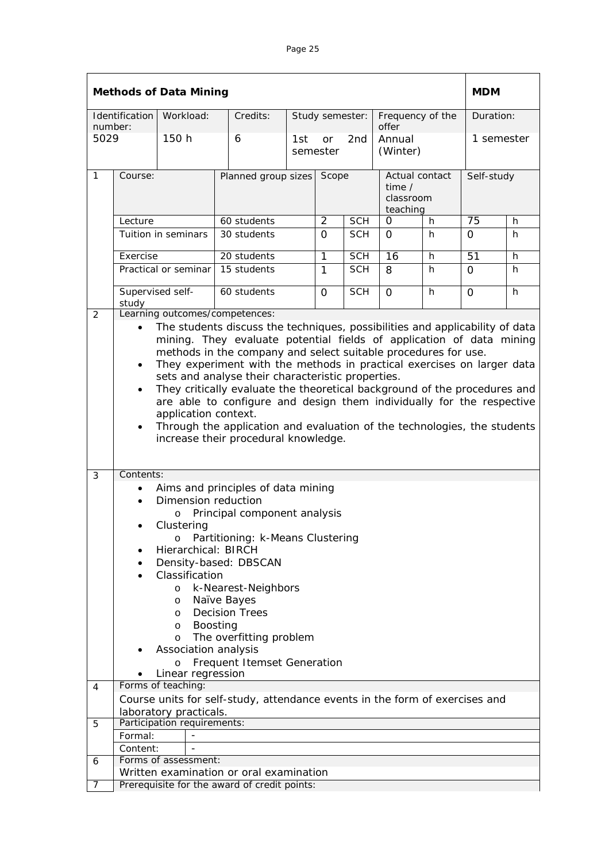<span id="page-15-0"></span>

|                 | <b>Methods of Data Mining</b>                                                                                                                                                                                                                                                                                                                                                                                                                                                                                                                                                                                                                                                                  | <b>MDM</b>                                            |                                                                             |     |                |                 |                                                          |    |            |   |
|-----------------|------------------------------------------------------------------------------------------------------------------------------------------------------------------------------------------------------------------------------------------------------------------------------------------------------------------------------------------------------------------------------------------------------------------------------------------------------------------------------------------------------------------------------------------------------------------------------------------------------------------------------------------------------------------------------------------------|-------------------------------------------------------|-----------------------------------------------------------------------------|-----|----------------|-----------------|----------------------------------------------------------|----|------------|---|
|                 | Identification                                                                                                                                                                                                                                                                                                                                                                                                                                                                                                                                                                                                                                                                                 | Workload:                                             | Credits:                                                                    |     |                | Study semester: | Frequency of the<br>offer                                |    | Duration:  |   |
| number:<br>5029 |                                                                                                                                                                                                                                                                                                                                                                                                                                                                                                                                                                                                                                                                                                | 150 h                                                 | 6                                                                           | 1st | or<br>semester | 2nd             | Annual<br>(Winter)                                       |    | 1 semester |   |
| $\mathbf{1}$    | Course:                                                                                                                                                                                                                                                                                                                                                                                                                                                                                                                                                                                                                                                                                        |                                                       | Planned group sizes Scope                                                   |     |                |                 | Actual contact<br>time $\prime$<br>classroom<br>teaching |    | Self-study |   |
|                 | Lecture                                                                                                                                                                                                                                                                                                                                                                                                                                                                                                                                                                                                                                                                                        |                                                       | 60 students                                                                 |     | $\overline{2}$ | <b>SCH</b>      | O                                                        | h. | 75         | h |
|                 |                                                                                                                                                                                                                                                                                                                                                                                                                                                                                                                                                                                                                                                                                                | Tuition in seminars                                   | 30 students                                                                 |     | $\Omega$       | SCH             | $\Omega$                                                 | h  | $\Omega$   | h |
|                 | Exercise                                                                                                                                                                                                                                                                                                                                                                                                                                                                                                                                                                                                                                                                                       |                                                       | 20 students                                                                 |     | 1              | <b>SCH</b>      | 16                                                       | h  | 51         | h |
|                 |                                                                                                                                                                                                                                                                                                                                                                                                                                                                                                                                                                                                                                                                                                | Practical or seminar                                  | 15 students                                                                 |     | $\mathbf{1}$   | <b>SCH</b>      | 8                                                        | h  | 0          | h |
|                 | Supervised self-<br>study                                                                                                                                                                                                                                                                                                                                                                                                                                                                                                                                                                                                                                                                      |                                                       | 60 students<br>Learning outcomes/competences:                               |     | $\Omega$       | <b>SCH</b>      | $\Omega$                                                 | h  | $\Omega$   | h |
|                 | The students discuss the techniques, possibilities and applicability of data<br>mining. They evaluate potential fields of application of data mining<br>methods in the company and select suitable procedures for use.<br>They experiment with the methods in practical exercises on larger data<br>$\bullet$<br>sets and analyse their characteristic properties.<br>They critically evaluate the theoretical background of the procedures and<br>$\bullet$<br>are able to configure and design them individually for the respective<br>application context.<br>Through the application and evaluation of the technologies, the students<br>$\bullet$<br>increase their procedural knowledge. |                                                       |                                                                             |     |                |                 |                                                          |    |            |   |
| 3               | Contents:<br>Aims and principles of data mining<br>Dimension reduction<br>$\bullet$<br>Principal component analysis<br>$\circ$<br>Clustering<br>Partitioning: k-Means Clustering<br>$\circ$<br>Hierarchical: BIRCH<br>$\bullet$<br>Density-based: DBSCAN<br>Classification<br>k-Nearest-Neighbors<br>$\circ$<br>Naïve Bayes<br>O<br><b>Decision Trees</b><br>$\circ$<br>Boosting<br>O<br>The overfitting problem<br>O<br>Association analysis<br>Frequent Itemset Generation<br>O                                                                                                                                                                                                              |                                                       |                                                                             |     |                |                 |                                                          |    |            |   |
|                 |                                                                                                                                                                                                                                                                                                                                                                                                                                                                                                                                                                                                                                                                                                | Linear regression<br>Forms of teaching:               |                                                                             |     |                |                 |                                                          |    |            |   |
| 4               |                                                                                                                                                                                                                                                                                                                                                                                                                                                                                                                                                                                                                                                                                                |                                                       | Course units for self-study, attendance events in the form of exercises and |     |                |                 |                                                          |    |            |   |
|                 |                                                                                                                                                                                                                                                                                                                                                                                                                                                                                                                                                                                                                                                                                                | laboratory practicals.<br>Participation requirements: |                                                                             |     |                |                 |                                                          |    |            |   |
| 5               | Formal:                                                                                                                                                                                                                                                                                                                                                                                                                                                                                                                                                                                                                                                                                        | $\overline{\phantom{0}}$                              |                                                                             |     |                |                 |                                                          |    |            |   |
|                 | Content:                                                                                                                                                                                                                                                                                                                                                                                                                                                                                                                                                                                                                                                                                       |                                                       |                                                                             |     |                |                 |                                                          |    |            |   |
| 6               |                                                                                                                                                                                                                                                                                                                                                                                                                                                                                                                                                                                                                                                                                                | Forms of assessment:                                  |                                                                             |     |                |                 |                                                          |    |            |   |
|                 |                                                                                                                                                                                                                                                                                                                                                                                                                                                                                                                                                                                                                                                                                                |                                                       | Written examination or oral examination                                     |     |                |                 |                                                          |    |            |   |
| 7               |                                                                                                                                                                                                                                                                                                                                                                                                                                                                                                                                                                                                                                                                                                |                                                       | Prerequisite for the award of credit points:                                |     |                |                 |                                                          |    |            |   |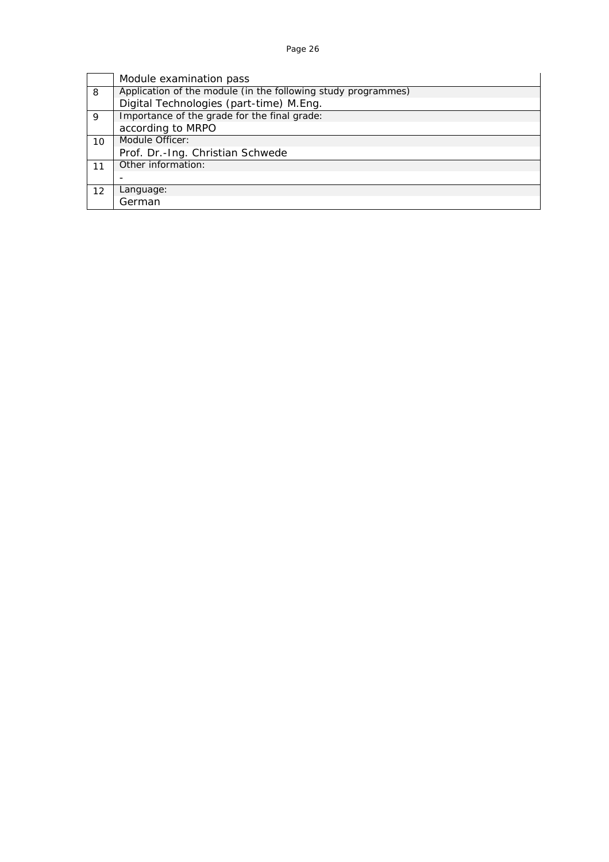|    | Module examination pass                                       |
|----|---------------------------------------------------------------|
| 8  | Application of the module (in the following study programmes) |
|    | Digital Technologies (part-time) M.Eng.                       |
| 9  | Importance of the grade for the final grade:                  |
|    | according to MRPO                                             |
| 10 | Module Officer:                                               |
|    | Prof. Dr.-Ing. Christian Schwede                              |
| 11 | Other information:                                            |
|    |                                                               |
| 12 | Language:                                                     |
|    | German                                                        |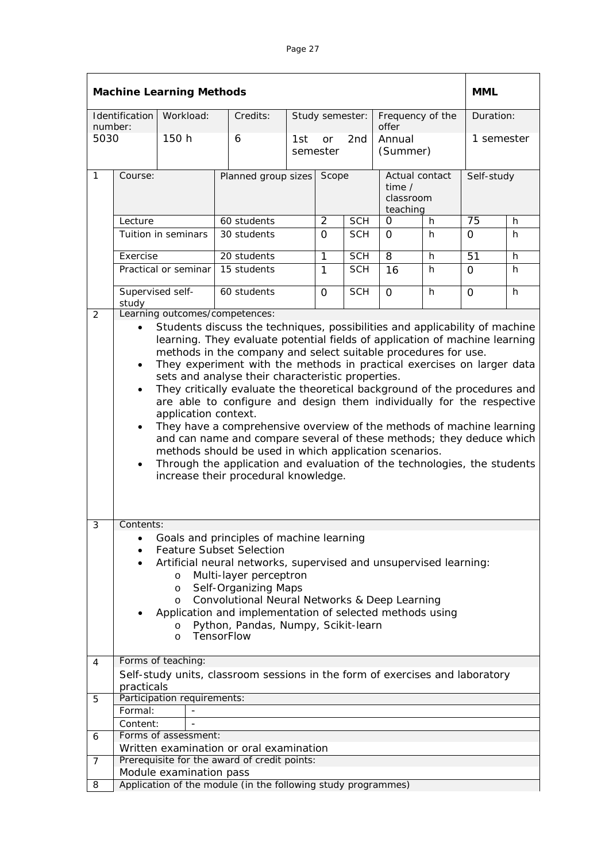<span id="page-17-0"></span>

|                | <b>Machine Learning Methods</b>                                                                                                                                                                                                                                                                                                                                                                                                                                                                                                                                                                                                                                                                                                                                                                                                                                                                                              |                             |                                                                              |     |                |                 |                                                     |    |                 |           |  |
|----------------|------------------------------------------------------------------------------------------------------------------------------------------------------------------------------------------------------------------------------------------------------------------------------------------------------------------------------------------------------------------------------------------------------------------------------------------------------------------------------------------------------------------------------------------------------------------------------------------------------------------------------------------------------------------------------------------------------------------------------------------------------------------------------------------------------------------------------------------------------------------------------------------------------------------------------|-----------------------------|------------------------------------------------------------------------------|-----|----------------|-----------------|-----------------------------------------------------|----|-----------------|-----------|--|
| number:        | Identification                                                                                                                                                                                                                                                                                                                                                                                                                                                                                                                                                                                                                                                                                                                                                                                                                                                                                                               | Workload:                   | Credits:                                                                     |     |                | Study semester: | Frequency of the<br>offer                           |    |                 | Duration: |  |
| 5030           |                                                                                                                                                                                                                                                                                                                                                                                                                                                                                                                                                                                                                                                                                                                                                                                                                                                                                                                              | 150 h                       | 6                                                                            | 1st | or<br>semester | 2nd             | Annual<br>(Summer)                                  |    | 1 semester      |           |  |
| $\mathbf{1}$   | Course:                                                                                                                                                                                                                                                                                                                                                                                                                                                                                                                                                                                                                                                                                                                                                                                                                                                                                                                      |                             | Planned group sizes Scope                                                    |     |                |                 | Actual contact<br>time $/$<br>classroom<br>teaching |    | Self-study      |           |  |
|                | Lecture                                                                                                                                                                                                                                                                                                                                                                                                                                                                                                                                                                                                                                                                                                                                                                                                                                                                                                                      |                             | 60 students                                                                  |     | $\overline{2}$ | <b>SCH</b>      | 0                                                   | h. | $\overline{75}$ | h         |  |
|                |                                                                                                                                                                                                                                                                                                                                                                                                                                                                                                                                                                                                                                                                                                                                                                                                                                                                                                                              | Tuition in seminars         | 30 students                                                                  |     | $\Omega$       | <b>SCH</b>      | $\Omega$                                            | h. | $\Omega$        | h         |  |
|                | Exercise                                                                                                                                                                                                                                                                                                                                                                                                                                                                                                                                                                                                                                                                                                                                                                                                                                                                                                                     |                             | 20 students                                                                  |     | 1              | <b>SCH</b>      | $\overline{8}$                                      | h  | 51              | h         |  |
|                |                                                                                                                                                                                                                                                                                                                                                                                                                                                                                                                                                                                                                                                                                                                                                                                                                                                                                                                              | Practical or seminar        | 15 students                                                                  |     | $\mathbf{1}$   | <b>SCH</b>      | 16                                                  | h  | $\Omega$        | h         |  |
| 2              | Supervised self-<br>study                                                                                                                                                                                                                                                                                                                                                                                                                                                                                                                                                                                                                                                                                                                                                                                                                                                                                                    |                             | 60 students<br>Learning outcomes/competences:                                |     | $\Omega$       | <b>SCH</b>      | $\Omega$                                            | h  | $\Omega$        | h         |  |
|                | Students discuss the techniques, possibilities and applicability of machine<br>learning. They evaluate potential fields of application of machine learning<br>methods in the company and select suitable procedures for use.<br>They experiment with the methods in practical exercises on larger data<br>$\bullet$<br>sets and analyse their characteristic properties.<br>They critically evaluate the theoretical background of the procedures and<br>$\bullet$<br>are able to configure and design them individually for the respective<br>application context.<br>They have a comprehensive overview of the methods of machine learning<br>$\bullet$<br>and can name and compare several of these methods; they deduce which<br>methods should be used in which application scenarios.<br>Through the application and evaluation of the technologies, the students<br>$\bullet$<br>increase their procedural knowledge. |                             |                                                                              |     |                |                 |                                                     |    |                 |           |  |
| 3              | Contents:<br>Goals and principles of machine learning<br><b>Feature Subset Selection</b><br>Artificial neural networks, supervised and unsupervised learning:<br>Multi-layer perceptron<br>$\circ$<br>Self-Organizing Maps<br>$\circ$<br>Convolutional Neural Networks & Deep Learning<br>$\circ$<br>Application and implementation of selected methods using<br>Python, Pandas, Numpy, Scikit-learn<br>$\circ$<br><b>TensorFlow</b><br>$\circ$                                                                                                                                                                                                                                                                                                                                                                                                                                                                              |                             |                                                                              |     |                |                 |                                                     |    |                 |           |  |
| 4              | practicals                                                                                                                                                                                                                                                                                                                                                                                                                                                                                                                                                                                                                                                                                                                                                                                                                                                                                                                   | Forms of teaching:          | Self-study units, classroom sessions in the form of exercises and laboratory |     |                |                 |                                                     |    |                 |           |  |
| 5              |                                                                                                                                                                                                                                                                                                                                                                                                                                                                                                                                                                                                                                                                                                                                                                                                                                                                                                                              | Participation requirements: |                                                                              |     |                |                 |                                                     |    |                 |           |  |
|                | Formal:                                                                                                                                                                                                                                                                                                                                                                                                                                                                                                                                                                                                                                                                                                                                                                                                                                                                                                                      |                             |                                                                              |     |                |                 |                                                     |    |                 |           |  |
|                | Content:                                                                                                                                                                                                                                                                                                                                                                                                                                                                                                                                                                                                                                                                                                                                                                                                                                                                                                                     |                             |                                                                              |     |                |                 |                                                     |    |                 |           |  |
| 6              |                                                                                                                                                                                                                                                                                                                                                                                                                                                                                                                                                                                                                                                                                                                                                                                                                                                                                                                              | Forms of assessment:        |                                                                              |     |                |                 |                                                     |    |                 |           |  |
|                |                                                                                                                                                                                                                                                                                                                                                                                                                                                                                                                                                                                                                                                                                                                                                                                                                                                                                                                              |                             | Written examination or oral examination                                      |     |                |                 |                                                     |    |                 |           |  |
| $\overline{7}$ |                                                                                                                                                                                                                                                                                                                                                                                                                                                                                                                                                                                                                                                                                                                                                                                                                                                                                                                              |                             | Prerequisite for the award of credit points:                                 |     |                |                 |                                                     |    |                 |           |  |
|                |                                                                                                                                                                                                                                                                                                                                                                                                                                                                                                                                                                                                                                                                                                                                                                                                                                                                                                                              | Module examination pass     |                                                                              |     |                |                 |                                                     |    |                 |           |  |
| 8              |                                                                                                                                                                                                                                                                                                                                                                                                                                                                                                                                                                                                                                                                                                                                                                                                                                                                                                                              |                             | Application of the module (in the following study programmes)                |     |                |                 |                                                     |    |                 |           |  |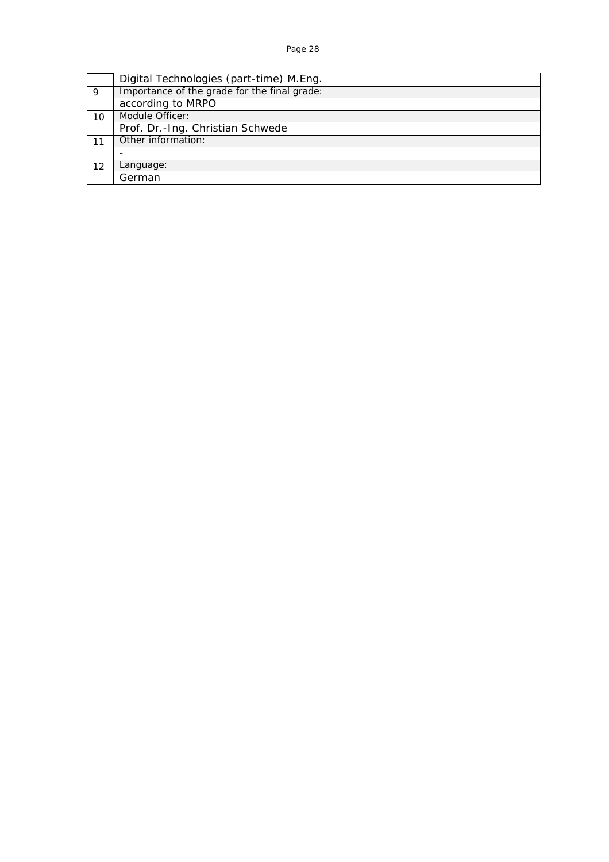|    | Digital Technologies (part-time) M.Eng.      |
|----|----------------------------------------------|
| 9  | Importance of the grade for the final grade: |
|    | according to MRPO                            |
| 10 | Module Officer:                              |
|    | Prof. Dr.-Ing. Christian Schwede             |
|    | Other information:                           |
|    |                                              |
| 12 | Language:                                    |
|    | German                                       |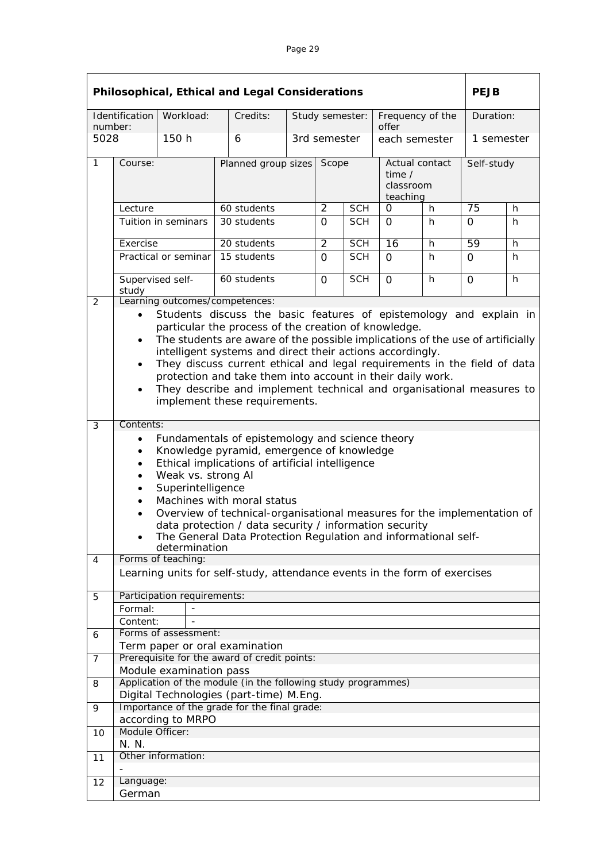<span id="page-19-0"></span>

|                | Philosophical, Ethical and Legal Considerations                                                                                                                                                                                                                                                                                                                                                                                                                                                                                                                     |                             |                                                                                         |  |                |                 |                                                   |    |                 |   |
|----------------|---------------------------------------------------------------------------------------------------------------------------------------------------------------------------------------------------------------------------------------------------------------------------------------------------------------------------------------------------------------------------------------------------------------------------------------------------------------------------------------------------------------------------------------------------------------------|-----------------------------|-----------------------------------------------------------------------------------------|--|----------------|-----------------|---------------------------------------------------|----|-----------------|---|
| number:        | Identification                                                                                                                                                                                                                                                                                                                                                                                                                                                                                                                                                      | Workload:                   | Credits:                                                                                |  |                | Study semester: | Frequency of the<br>offer                         |    | Duration:       |   |
| 5028           |                                                                                                                                                                                                                                                                                                                                                                                                                                                                                                                                                                     | 150 h                       | 6                                                                                       |  | 3rd semester   |                 | each semester                                     |    | 1 semester      |   |
| $\mathbf{1}$   | Course:                                                                                                                                                                                                                                                                                                                                                                                                                                                                                                                                                             |                             | Planned group sizes                                                                     |  | Scope          |                 | Actual contact<br>time /<br>classroom<br>teaching |    | Self-study      |   |
|                | Lecture                                                                                                                                                                                                                                                                                                                                                                                                                                                                                                                                                             |                             | 60 students                                                                             |  | $\overline{2}$ | <b>SCH</b>      | O                                                 | h  | $\overline{75}$ | h |
|                |                                                                                                                                                                                                                                                                                                                                                                                                                                                                                                                                                                     | Tuition in seminars         | 30 students                                                                             |  | $\Omega$       | <b>SCH</b>      | $\Omega$                                          | h  | $\Omega$        | h |
|                | Exercise                                                                                                                                                                                                                                                                                                                                                                                                                                                                                                                                                            |                             | 20 students                                                                             |  | $\overline{2}$ | <b>SCH</b>      | 16                                                | h  | 59              | h |
|                |                                                                                                                                                                                                                                                                                                                                                                                                                                                                                                                                                                     | Practical or seminar        | 15 students                                                                             |  | $\Omega$       | <b>SCH</b>      | $\Omega$                                          | h  | $\Omega$        | h |
|                | Supervised self-<br>study                                                                                                                                                                                                                                                                                                                                                                                                                                                                                                                                           |                             | 60 students                                                                             |  | $\Omega$       | <b>SCH</b>      | $\Omega$                                          | h. | 0               | h |
| 2              |                                                                                                                                                                                                                                                                                                                                                                                                                                                                                                                                                                     |                             | Learning outcomes/competences:                                                          |  |                |                 |                                                   |    |                 |   |
|                | Students discuss the basic features of epistemology and explain in<br>particular the process of the creation of knowledge.<br>The students are aware of the possible implications of the use of artificially<br>$\bullet$<br>intelligent systems and direct their actions accordingly.<br>They discuss current ethical and legal requirements in the field of data<br>$\bullet$<br>protection and take them into account in their daily work.<br>They describe and implement technical and organisational measures to<br>$\bullet$<br>implement these requirements. |                             |                                                                                         |  |                |                 |                                                   |    |                 |   |
| 3              | Contents:                                                                                                                                                                                                                                                                                                                                                                                                                                                                                                                                                           |                             |                                                                                         |  |                |                 |                                                   |    |                 |   |
|                | Fundamentals of epistemology and science theory<br>$\bullet$                                                                                                                                                                                                                                                                                                                                                                                                                                                                                                        |                             |                                                                                         |  |                |                 |                                                   |    |                 |   |
|                | $\bullet$                                                                                                                                                                                                                                                                                                                                                                                                                                                                                                                                                           |                             | Knowledge pyramid, emergence of knowledge                                               |  |                |                 |                                                   |    |                 |   |
|                | $\bullet$                                                                                                                                                                                                                                                                                                                                                                                                                                                                                                                                                           |                             | Ethical implications of artificial intelligence                                         |  |                |                 |                                                   |    |                 |   |
|                | $\bullet$                                                                                                                                                                                                                                                                                                                                                                                                                                                                                                                                                           | Weak vs. strong AI          |                                                                                         |  |                |                 |                                                   |    |                 |   |
|                | $\bullet$                                                                                                                                                                                                                                                                                                                                                                                                                                                                                                                                                           | Superintelligence           |                                                                                         |  |                |                 |                                                   |    |                 |   |
|                | $\bullet$                                                                                                                                                                                                                                                                                                                                                                                                                                                                                                                                                           |                             | Machines with moral status                                                              |  |                |                 |                                                   |    |                 |   |
|                | $\bullet$                                                                                                                                                                                                                                                                                                                                                                                                                                                                                                                                                           |                             | Overview of technical-organisational measures for the implementation of                 |  |                |                 |                                                   |    |                 |   |
|                |                                                                                                                                                                                                                                                                                                                                                                                                                                                                                                                                                                     |                             | data protection / data security / information security                                  |  |                |                 |                                                   |    |                 |   |
|                |                                                                                                                                                                                                                                                                                                                                                                                                                                                                                                                                                                     | determination               | The General Data Protection Regulation and informational self-                          |  |                |                 |                                                   |    |                 |   |
| $\overline{4}$ |                                                                                                                                                                                                                                                                                                                                                                                                                                                                                                                                                                     | Forms of teaching:          |                                                                                         |  |                |                 |                                                   |    |                 |   |
|                |                                                                                                                                                                                                                                                                                                                                                                                                                                                                                                                                                                     |                             | Learning units for self-study, attendance events in the form of exercises               |  |                |                 |                                                   |    |                 |   |
| 5              |                                                                                                                                                                                                                                                                                                                                                                                                                                                                                                                                                                     | Participation requirements: |                                                                                         |  |                |                 |                                                   |    |                 |   |
|                | Formal:                                                                                                                                                                                                                                                                                                                                                                                                                                                                                                                                                             |                             |                                                                                         |  |                |                 |                                                   |    |                 |   |
|                | Content:                                                                                                                                                                                                                                                                                                                                                                                                                                                                                                                                                            |                             |                                                                                         |  |                |                 |                                                   |    |                 |   |
| 6              |                                                                                                                                                                                                                                                                                                                                                                                                                                                                                                                                                                     | Forms of assessment:        |                                                                                         |  |                |                 |                                                   |    |                 |   |
|                |                                                                                                                                                                                                                                                                                                                                                                                                                                                                                                                                                                     |                             | Term paper or oral examination                                                          |  |                |                 |                                                   |    |                 |   |
| $\overline{7}$ |                                                                                                                                                                                                                                                                                                                                                                                                                                                                                                                                                                     | Module examination pass     | Prerequisite for the award of credit points:                                            |  |                |                 |                                                   |    |                 |   |
| 8              |                                                                                                                                                                                                                                                                                                                                                                                                                                                                                                                                                                     |                             | Application of the module (in the following study programmes)                           |  |                |                 |                                                   |    |                 |   |
|                |                                                                                                                                                                                                                                                                                                                                                                                                                                                                                                                                                                     |                             | Digital Technologies (part-time) M.Eng.<br>Importance of the grade for the final grade: |  |                |                 |                                                   |    |                 |   |
| 9              |                                                                                                                                                                                                                                                                                                                                                                                                                                                                                                                                                                     | according to MRPO           |                                                                                         |  |                |                 |                                                   |    |                 |   |
| 10             | Module Officer:                                                                                                                                                                                                                                                                                                                                                                                                                                                                                                                                                     |                             |                                                                                         |  |                |                 |                                                   |    |                 |   |
|                | N. N.                                                                                                                                                                                                                                                                                                                                                                                                                                                                                                                                                               |                             |                                                                                         |  |                |                 |                                                   |    |                 |   |
| 11             |                                                                                                                                                                                                                                                                                                                                                                                                                                                                                                                                                                     | Other information:          |                                                                                         |  |                |                 |                                                   |    |                 |   |
| 12             | Language:                                                                                                                                                                                                                                                                                                                                                                                                                                                                                                                                                           |                             |                                                                                         |  |                |                 |                                                   |    |                 |   |
|                | German                                                                                                                                                                                                                                                                                                                                                                                                                                                                                                                                                              |                             |                                                                                         |  |                |                 |                                                   |    |                 |   |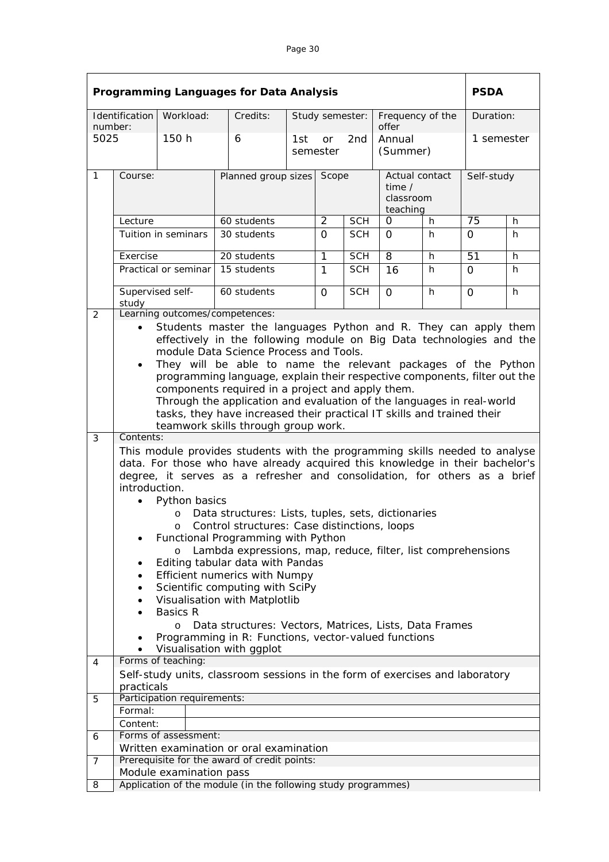<span id="page-20-0"></span>

| Programming Languages for Data Analysis |                                                                                                                                                                                                                                                                                                                                                                                                                                                                                                                                                                                            |                                                                              |                                                                                                                                             |                     |                       |                 | <b>PSDA</b>                                         |   |                 |    |
|-----------------------------------------|--------------------------------------------------------------------------------------------------------------------------------------------------------------------------------------------------------------------------------------------------------------------------------------------------------------------------------------------------------------------------------------------------------------------------------------------------------------------------------------------------------------------------------------------------------------------------------------------|------------------------------------------------------------------------------|---------------------------------------------------------------------------------------------------------------------------------------------|---------------------|-----------------------|-----------------|-----------------------------------------------------|---|-----------------|----|
| Identification                          |                                                                                                                                                                                                                                                                                                                                                                                                                                                                                                                                                                                            | Workload:                                                                    | Credits:                                                                                                                                    |                     | Study semester:       |                 | Frequency of the<br>offer                           |   | Duration:       |    |
| number:<br>5025                         |                                                                                                                                                                                                                                                                                                                                                                                                                                                                                                                                                                                            | 150 h                                                                        | 6                                                                                                                                           | 1st                 | <b>or</b><br>semester | 2 <sub>nd</sub> | Annual<br>(Summer)                                  |   | 1 semester      |    |
| $\mathbf{1}$                            | Course:                                                                                                                                                                                                                                                                                                                                                                                                                                                                                                                                                                                    |                                                                              |                                                                                                                                             | Planned group sizes |                       | Scope           | Actual contact<br>time $/$<br>classroom<br>teaching |   | Self-study      |    |
|                                         | Lecture                                                                                                                                                                                                                                                                                                                                                                                                                                                                                                                                                                                    |                                                                              | 60 students                                                                                                                                 |                     | 2                     | <b>SCH</b>      | $\Omega$                                            | h | $\overline{75}$ | h  |
|                                         |                                                                                                                                                                                                                                                                                                                                                                                                                                                                                                                                                                                            | Tuition in seminars                                                          | 30 students                                                                                                                                 |                     | 0                     | <b>SCH</b>      | 0                                                   | h | $\Omega$        | h. |
|                                         | Exercise                                                                                                                                                                                                                                                                                                                                                                                                                                                                                                                                                                                   |                                                                              | 20 students                                                                                                                                 |                     | $\mathbf{1}$          | <b>SCH</b>      | $\overline{8}$                                      | h | 51              | h  |
|                                         |                                                                                                                                                                                                                                                                                                                                                                                                                                                                                                                                                                                            | Practical or seminar                                                         | 15 students                                                                                                                                 |                     | $\mathbf{1}$          | <b>SCH</b>      | 16                                                  | h | $\Omega$        | h  |
|                                         | Supervised self-<br>study                                                                                                                                                                                                                                                                                                                                                                                                                                                                                                                                                                  |                                                                              | 60 students                                                                                                                                 |                     | $\Omega$              | <b>SCH</b>      | $\Omega$                                            | h | $\mathbf 0$     | h  |
| 2                                       |                                                                                                                                                                                                                                                                                                                                                                                                                                                                                                                                                                                            |                                                                              | Learning outcomes/competences:                                                                                                              |                     |                       |                 |                                                     |   |                 |    |
|                                         | Students master the languages Python and R. They can apply them<br>effectively in the following module on Big Data technologies and the<br>module Data Science Process and Tools.<br>They will be able to name the relevant packages of the Python<br>$\bullet$<br>programming language, explain their respective components, filter out the<br>components required in a project and apply them.<br>Through the application and evaluation of the languages in real-world<br>tasks, they have increased their practical IT skills and trained their<br>teamwork skills through group work. |                                                                              |                                                                                                                                             |                     |                       |                 |                                                     |   |                 |    |
| 3                                       | Contents:                                                                                                                                                                                                                                                                                                                                                                                                                                                                                                                                                                                  |                                                                              |                                                                                                                                             |                     |                       |                 |                                                     |   |                 |    |
|                                         | This module provides students with the programming skills needed to analyse<br>data. For those who have already acquired this knowledge in their bachelor's<br>degree, it serves as a refresher and consolidation, for others as a brief<br>introduction.<br>Python basics<br>Data structures: Lists, tuples, sets, dictionaries<br>$\circ$<br>Control structures: Case distinctions, loops<br>O<br>Functional Programming with Python<br>Lambda expressions, map, reduce, filter, list comprehensions<br>$\circ$<br>Editing tabular data with Pandas<br>٠                                 |                                                                              |                                                                                                                                             |                     |                       |                 |                                                     |   |                 |    |
|                                         | <b>Efficient numerics with Numpy</b><br>$\bullet$<br>Scientific computing with SciPy<br>$\bullet$                                                                                                                                                                                                                                                                                                                                                                                                                                                                                          |                                                                              |                                                                                                                                             |                     |                       |                 |                                                     |   |                 |    |
|                                         |                                                                                                                                                                                                                                                                                                                                                                                                                                                                                                                                                                                            |                                                                              | Visualisation with Matplotlib                                                                                                               |                     |                       |                 |                                                     |   |                 |    |
|                                         |                                                                                                                                                                                                                                                                                                                                                                                                                                                                                                                                                                                            | <b>Basics R</b>                                                              |                                                                                                                                             |                     |                       |                 |                                                     |   |                 |    |
|                                         |                                                                                                                                                                                                                                                                                                                                                                                                                                                                                                                                                                                            | $\circ$                                                                      | Data structures: Vectors, Matrices, Lists, Data Frames<br>Programming in R: Functions, vector-valued functions<br>Visualisation with ggplot |                     |                       |                 |                                                     |   |                 |    |
| 4                                       |                                                                                                                                                                                                                                                                                                                                                                                                                                                                                                                                                                                            | Forms of teaching:                                                           |                                                                                                                                             |                     |                       |                 |                                                     |   |                 |    |
|                                         |                                                                                                                                                                                                                                                                                                                                                                                                                                                                                                                                                                                            | Self-study units, classroom sessions in the form of exercises and laboratory |                                                                                                                                             |                     |                       |                 |                                                     |   |                 |    |
| 5                                       | practicals<br>Participation requirements:                                                                                                                                                                                                                                                                                                                                                                                                                                                                                                                                                  |                                                                              |                                                                                                                                             |                     |                       |                 |                                                     |   |                 |    |
|                                         | Formal:                                                                                                                                                                                                                                                                                                                                                                                                                                                                                                                                                                                    |                                                                              |                                                                                                                                             |                     |                       |                 |                                                     |   |                 |    |
|                                         | Content:                                                                                                                                                                                                                                                                                                                                                                                                                                                                                                                                                                                   |                                                                              |                                                                                                                                             |                     |                       |                 |                                                     |   |                 |    |
| 6                                       |                                                                                                                                                                                                                                                                                                                                                                                                                                                                                                                                                                                            | Forms of assessment:                                                         |                                                                                                                                             |                     |                       |                 |                                                     |   |                 |    |
|                                         |                                                                                                                                                                                                                                                                                                                                                                                                                                                                                                                                                                                            |                                                                              | Written examination or oral examination                                                                                                     |                     |                       |                 |                                                     |   |                 |    |
| $\overline{7}$                          |                                                                                                                                                                                                                                                                                                                                                                                                                                                                                                                                                                                            |                                                                              | Prerequisite for the award of credit points:                                                                                                |                     |                       |                 |                                                     |   |                 |    |
|                                         |                                                                                                                                                                                                                                                                                                                                                                                                                                                                                                                                                                                            | Module examination pass                                                      |                                                                                                                                             |                     |                       |                 |                                                     |   |                 |    |
| 8                                       |                                                                                                                                                                                                                                                                                                                                                                                                                                                                                                                                                                                            | Application of the module (in the following study programmes)                |                                                                                                                                             |                     |                       |                 |                                                     |   |                 |    |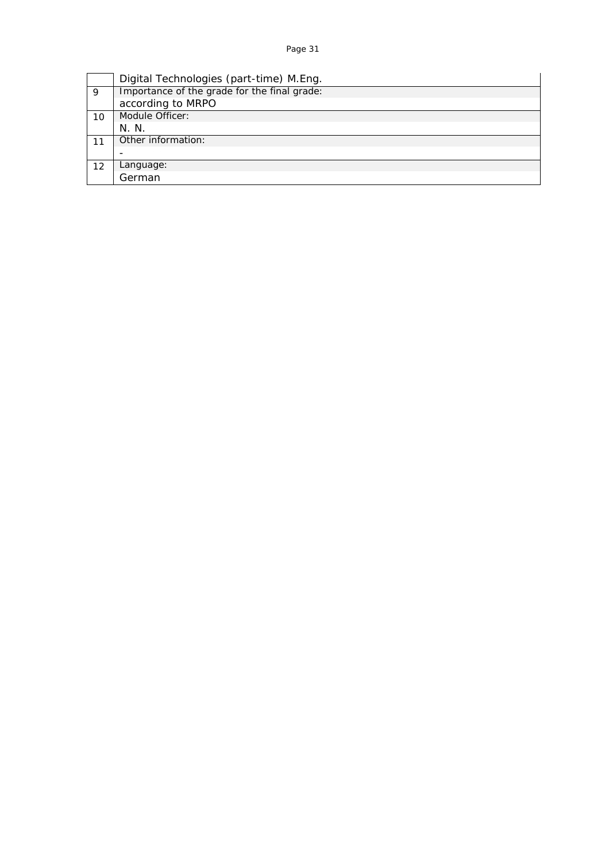|    | Digital Technologies (part-time) M.Eng.      |  |  |  |  |
|----|----------------------------------------------|--|--|--|--|
| 9  | Importance of the grade for the final grade: |  |  |  |  |
|    | according to MRPO                            |  |  |  |  |
| 10 | Module Officer:                              |  |  |  |  |
|    | N. N.                                        |  |  |  |  |
|    | Other information:                           |  |  |  |  |
|    |                                              |  |  |  |  |
| 12 | Language:                                    |  |  |  |  |
|    | German                                       |  |  |  |  |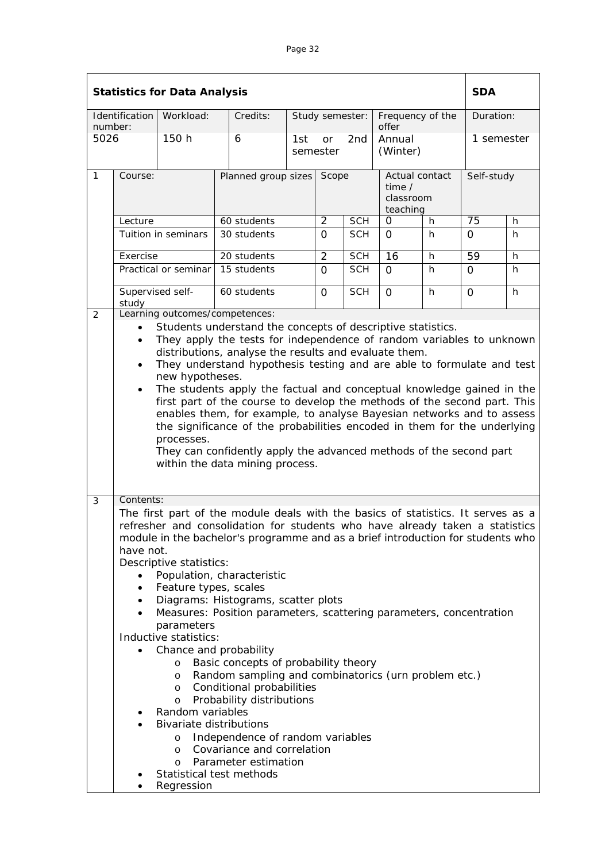<span id="page-22-0"></span>

| Identification<br>number:                |                                                                                                                                                                                                                                                                                                                                                                                                                                                                                                                                                                                                                                                                                                                                                                                                                                                                                                                                                 |                                                                                               | <b>Statistics for Data Analysis</b><br><b>SDA</b> |                       |            |                                                     |   |                 |           |  |
|------------------------------------------|-------------------------------------------------------------------------------------------------------------------------------------------------------------------------------------------------------------------------------------------------------------------------------------------------------------------------------------------------------------------------------------------------------------------------------------------------------------------------------------------------------------------------------------------------------------------------------------------------------------------------------------------------------------------------------------------------------------------------------------------------------------------------------------------------------------------------------------------------------------------------------------------------------------------------------------------------|-----------------------------------------------------------------------------------------------|---------------------------------------------------|-----------------------|------------|-----------------------------------------------------|---|-----------------|-----------|--|
|                                          | Workload:                                                                                                                                                                                                                                                                                                                                                                                                                                                                                                                                                                                                                                                                                                                                                                                                                                                                                                                                       | Credits:                                                                                      | Study semester:                                   |                       |            | Frequency of the<br>offer                           |   |                 | Duration: |  |
| 5026                                     | 150 h                                                                                                                                                                                                                                                                                                                                                                                                                                                                                                                                                                                                                                                                                                                                                                                                                                                                                                                                           | 6                                                                                             | 1st                                               | <b>or</b><br>semester | 2nd        | Annual<br>(Winter)                                  |   | 1 semester      |           |  |
| $\mathbf{1}$<br>Course:                  |                                                                                                                                                                                                                                                                                                                                                                                                                                                                                                                                                                                                                                                                                                                                                                                                                                                                                                                                                 | Planned group sizes Scope                                                                     |                                                   |                       |            | Actual contact<br>time $/$<br>classroom<br>teaching |   | Self-study      |           |  |
| Lecture                                  |                                                                                                                                                                                                                                                                                                                                                                                                                                                                                                                                                                                                                                                                                                                                                                                                                                                                                                                                                 | 60 students                                                                                   |                                                   | $\overline{2}$        | <b>SCH</b> | 0                                                   | h | $\overline{75}$ | h         |  |
|                                          | Tuition in seminars                                                                                                                                                                                                                                                                                                                                                                                                                                                                                                                                                                                                                                                                                                                                                                                                                                                                                                                             | 30 students                                                                                   |                                                   | $\Omega$              | <b>SCH</b> | $\Omega$                                            | h | $\mathbf{O}$    | h         |  |
| Exercise                                 |                                                                                                                                                                                                                                                                                                                                                                                                                                                                                                                                                                                                                                                                                                                                                                                                                                                                                                                                                 | 20 students                                                                                   |                                                   | $\overline{2}$        | <b>SCH</b> | 16                                                  | h | 59              | h         |  |
|                                          | Practical or seminar                                                                                                                                                                                                                                                                                                                                                                                                                                                                                                                                                                                                                                                                                                                                                                                                                                                                                                                            | 15 students                                                                                   |                                                   | $\Omega$              | <b>SCH</b> | $\Omega$                                            | h | $\Omega$        | h.        |  |
| Supervised self-<br>study                |                                                                                                                                                                                                                                                                                                                                                                                                                                                                                                                                                                                                                                                                                                                                                                                                                                                                                                                                                 | 60 students                                                                                   |                                                   | $\overline{O}$        | <b>SCH</b> | $\Omega$                                            | h | $\Omega$        | h.        |  |
| 2                                        |                                                                                                                                                                                                                                                                                                                                                                                                                                                                                                                                                                                                                                                                                                                                                                                                                                                                                                                                                 | Learning outcomes/competences:<br>Students understand the concepts of descriptive statistics. |                                                   |                       |            |                                                     |   |                 |           |  |
| $\bullet$<br>$\bullet$                   | distributions, analyse the results and evaluate them.<br>They understand hypothesis testing and are able to formulate and test<br>new hypotheses.<br>The students apply the factual and conceptual knowledge gained in the<br>first part of the course to develop the methods of the second part. This<br>enables them, for example, to analyse Bayesian networks and to assess<br>the significance of the probabilities encoded in them for the underlying<br>processes.<br>They can confidently apply the advanced methods of the second part<br>within the data mining process.                                                                                                                                                                                                                                                                                                                                                              |                                                                                               |                                                   |                       |            |                                                     |   |                 |           |  |
| 3<br>$\bullet$<br>$\bullet$<br>$\bullet$ | Contents:<br>The first part of the module deals with the basics of statistics. It serves as a<br>refresher and consolidation for students who have already taken a statistics<br>module in the bachelor's programme and as a brief introduction for students who<br>have not.<br>Descriptive statistics:<br>Population, characteristic<br>Feature types, scales<br>Diagrams: Histograms, scatter plots<br>Measures: Position parameters, scattering parameters, concentration<br>parameters<br>Inductive statistics:<br>Chance and probability<br>Basic concepts of probability theory<br>$\circ$<br>Random sampling and combinatorics (urn problem etc.)<br>O<br>Conditional probabilities<br>O<br>Probability distributions<br>O<br>Random variables<br><b>Bivariate distributions</b><br>Independence of random variables<br>$\circ$<br>Covariance and correlation<br>$\circ$<br>Parameter estimation<br>$\circ$<br>Statistical test methods |                                                                                               |                                                   |                       |            |                                                     |   |                 |           |  |